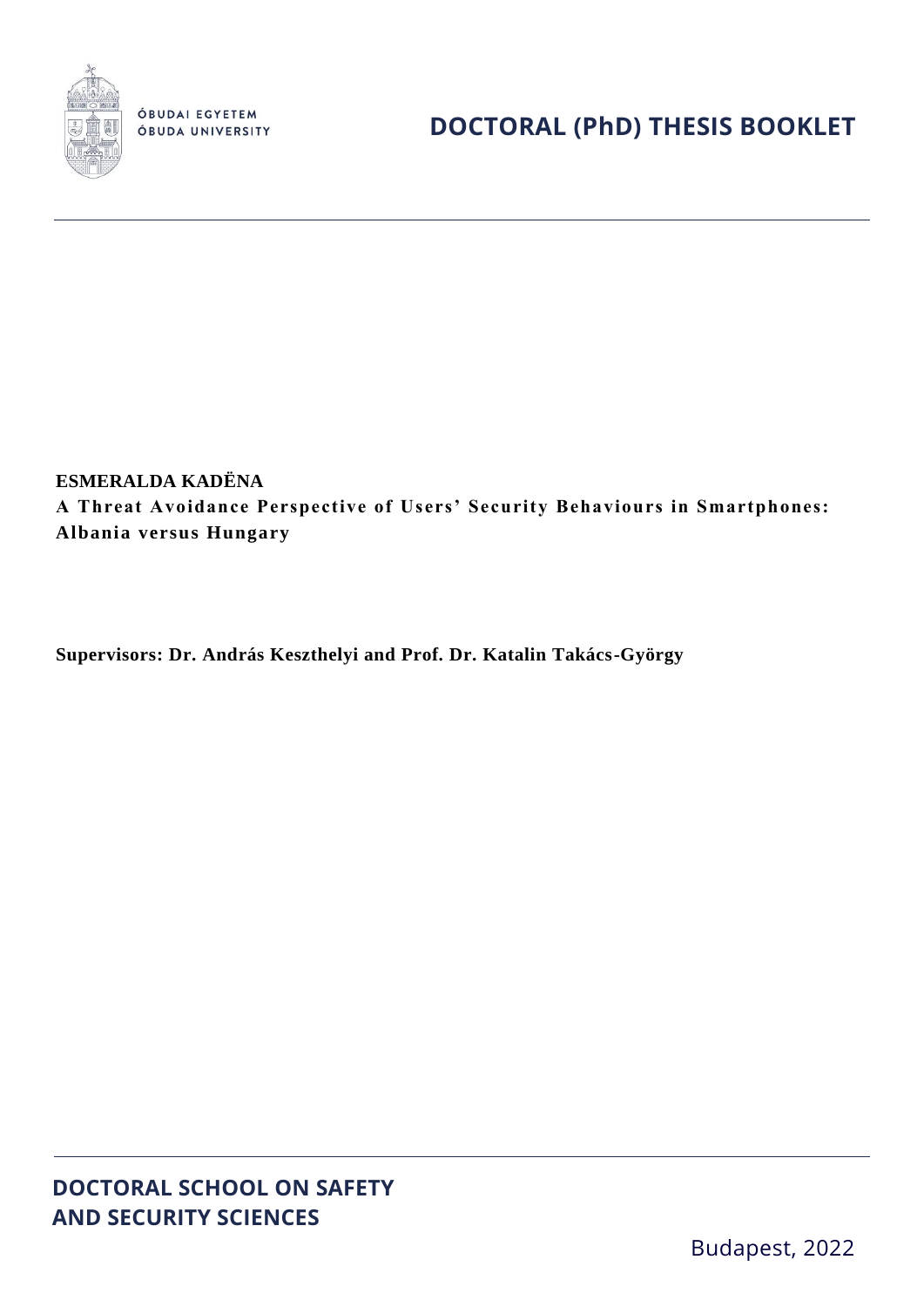

ÓBUDAI EGYETEM ÓBUDA UNIVERSITY

# **ESMERALDA KADËNA**

**A Threat Avoidance Perspective of Users' Security Behaviours in Smartphones: Albania versus Hungary**

**Supervisors: Dr. András Keszthelyi and Prof. Dr. Katalin Takács-György**

**DOCTORAL SCHOOL ON SAFETY AND SECURITY SCIENCES**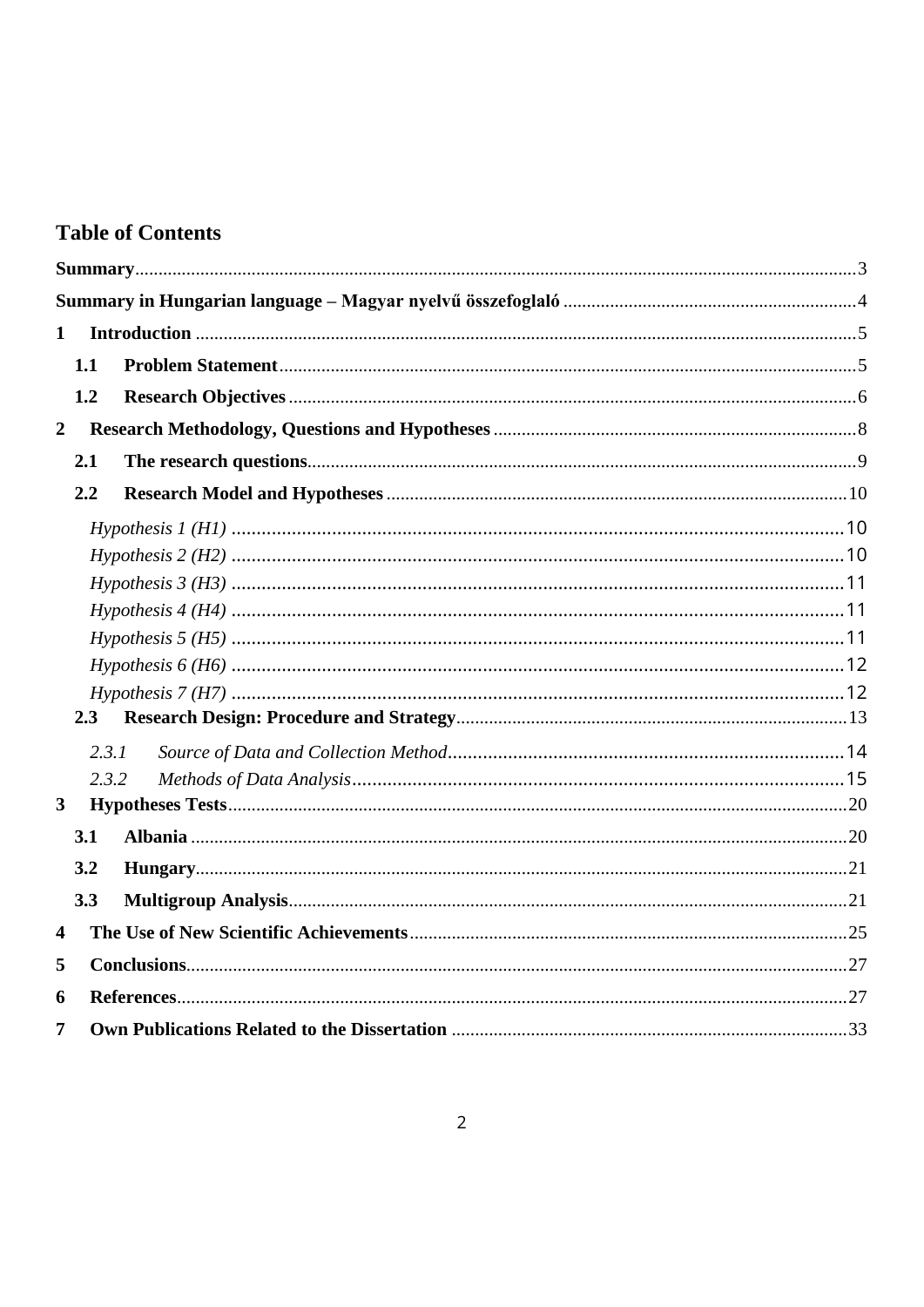# **Table of Contents**

| $\mathbf{1}$            |     |       |  |
|-------------------------|-----|-------|--|
|                         | 1.1 |       |  |
|                         | 1.2 |       |  |
| $\overline{2}$          |     |       |  |
|                         | 2.1 |       |  |
|                         | 2.2 |       |  |
|                         |     |       |  |
|                         |     |       |  |
|                         |     |       |  |
|                         |     |       |  |
|                         |     |       |  |
|                         |     |       |  |
|                         |     |       |  |
|                         | 2.3 |       |  |
|                         |     | 2.3.1 |  |
|                         |     | 2.3.2 |  |
| $\mathbf{3}$            |     |       |  |
|                         | 3.1 |       |  |
|                         | 3.2 |       |  |
|                         | 3.3 |       |  |
| $\overline{\mathbf{4}}$ |     |       |  |
| 5                       |     |       |  |
| 6                       |     |       |  |
| 7                       |     |       |  |
|                         |     |       |  |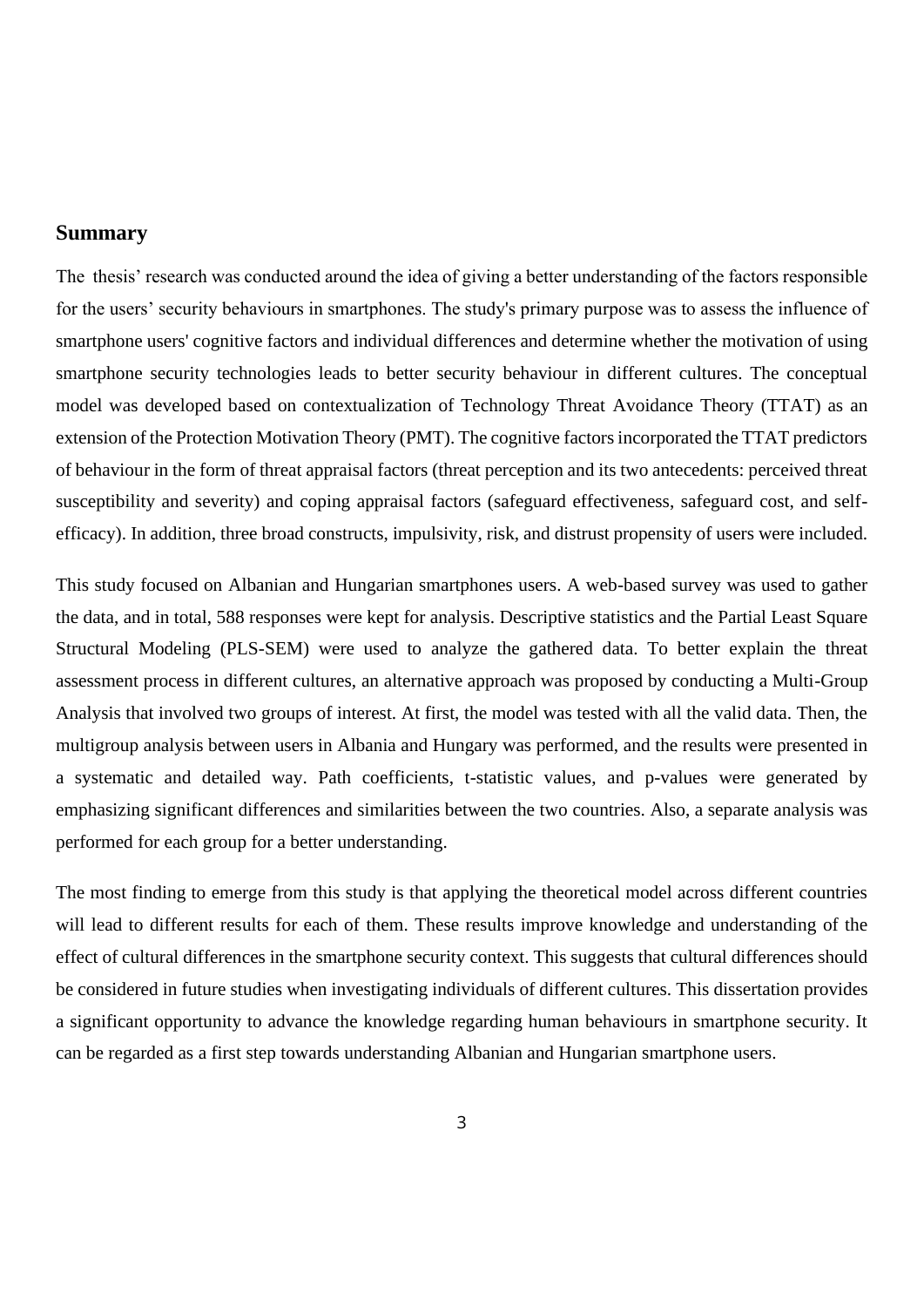## <span id="page-2-0"></span>**Summary**

The thesis' research was conducted around the idea of giving a better understanding of the factors responsible for the users' security behaviours in smartphones. The study's primary purpose was to assess the influence of smartphone users' cognitive factors and individual differences and determine whether the motivation of using smartphone security technologies leads to better security behaviour in different cultures. The conceptual model was developed based on contextualization of Technology Threat Avoidance Theory (TTAT) as an extension of the Protection Motivation Theory (PMT). The cognitive factors incorporated the TTAT predictors of behaviour in the form of threat appraisal factors (threat perception and its two antecedents: perceived threat susceptibility and severity) and coping appraisal factors (safeguard effectiveness, safeguard cost, and selfefficacy). In addition, three broad constructs, impulsivity, risk, and distrust propensity of users were included.

This study focused on Albanian and Hungarian smartphones users. A web-based survey was used to gather the data, and in total, 588 responses were kept for analysis. Descriptive statistics and the Partial Least Square Structural Modeling (PLS-SEM) were used to analyze the gathered data. To better explain the threat assessment process in different cultures, an alternative approach was proposed by conducting a Multi-Group Analysis that involved two groups of interest. At first, the model was tested with all the valid data. Then, the multigroup analysis between users in Albania and Hungary was performed, and the results were presented in a systematic and detailed way. Path coefficients, t-statistic values, and p-values were generated by emphasizing significant differences and similarities between the two countries. Also, a separate analysis was performed for each group for a better understanding.

The most finding to emerge from this study is that applying the theoretical model across different countries will lead to different results for each of them. These results improve knowledge and understanding of the effect of cultural differences in the smartphone security context. This suggests that cultural differences should be considered in future studies when investigating individuals of different cultures. This dissertation provides a significant opportunity to advance the knowledge regarding human behaviours in smartphone security. It can be regarded as a first step towards understanding Albanian and Hungarian smartphone users.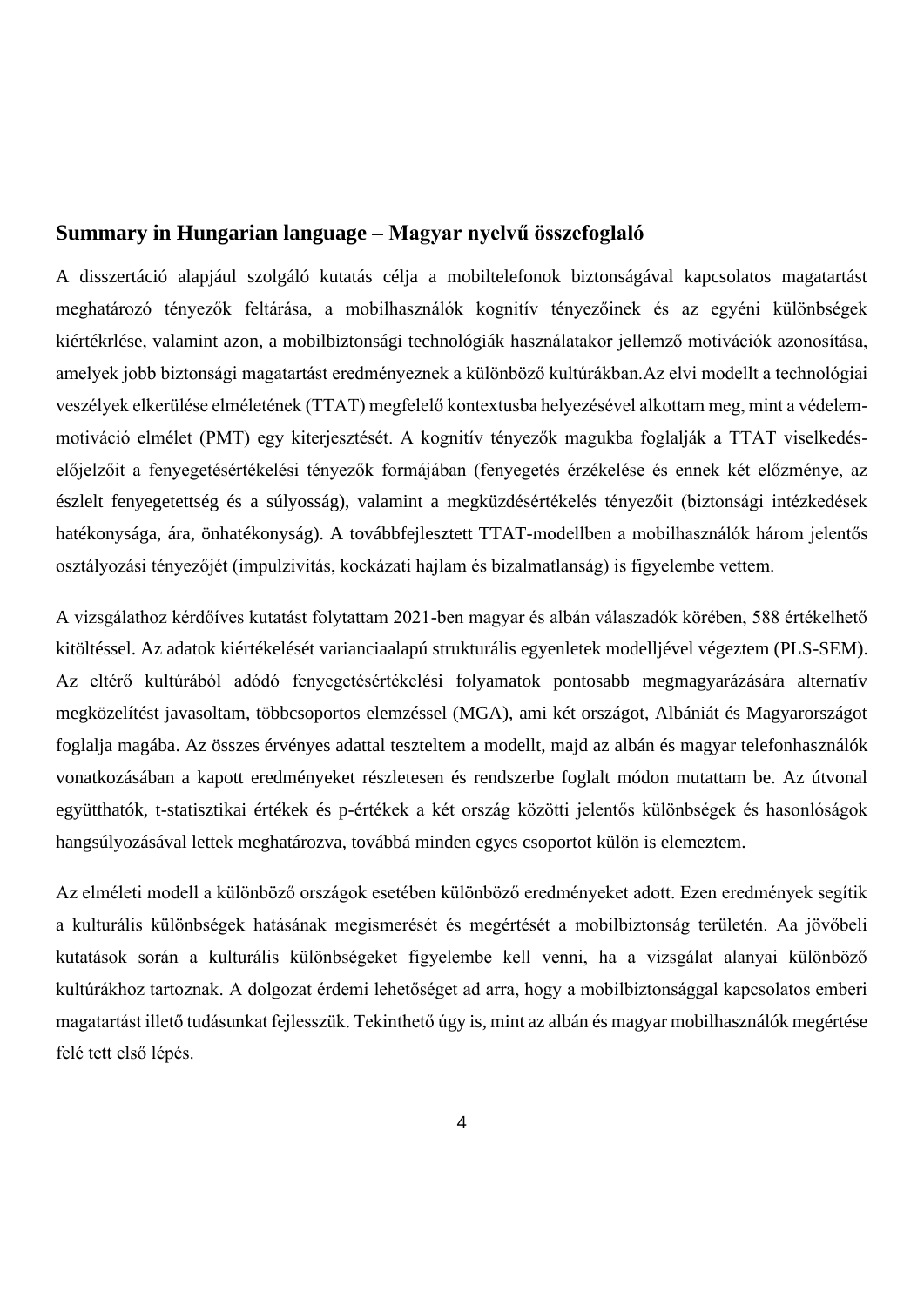## <span id="page-3-0"></span>**Summary in Hungarian language – Magyar nyelvű összefoglaló**

A disszertáció alapjául szolgáló kutatás célja a mobiltelefonok biztonságával kapcsolatos magatartást meghatározó tényezők feltárása, a mobilhasználók kognitív tényezőinek és az egyéni különbségek kiértékrlése, valamint azon, a mobilbiztonsági technológiák használatakor jellemző motivációk azonosítása, amelyek jobb biztonsági magatartást eredményeznek a különböző kultúrákban.Az elvi modellt a technológiai veszélyek elkerülése elméletének (TTAT) megfelelő kontextusba helyezésével alkottam meg, mint a védelemmotiváció elmélet (PMT) egy kiterjesztését. A kognitív tényezők magukba foglalják a TTAT viselkedéselőjelzőit a fenyegetésértékelési tényezők formájában (fenyegetés érzékelése és ennek két előzménye, az észlelt fenyegetettség és a súlyosság), valamint a megküzdésértékelés tényezőit (biztonsági intézkedések hatékonysága, ára, önhatékonyság). A továbbfejlesztett TTAT-modellben a mobilhasználók három jelentős osztályozási tényezőjét (impulzivitás, kockázati hajlam és bizalmatlanság) is figyelembe vettem.

A vizsgálathoz kérdőíves kutatást folytattam 2021-ben magyar és albán válaszadók körében, 588 értékelhető kitöltéssel. Az adatok kiértékelését varianciaalapú strukturális egyenletek modelljével végeztem (PLS-SEM). Az eltérő kultúrából adódó fenyegetésértékelési folyamatok pontosabb megmagyarázására alternatív megközelítést javasoltam, többcsoportos elemzéssel (MGA), ami két országot, Albániát és Magyarországot foglalja magába. Az összes érvényes adattal teszteltem a modellt, majd az albán és magyar telefonhasználók vonatkozásában a kapott eredményeket részletesen és rendszerbe foglalt módon mutattam be. Az útvonal együtthatók, t-statisztikai értékek és p-értékek a két ország közötti jelentős különbségek és hasonlóságok hangsúlyozásával lettek meghatározva, továbbá minden egyes csoportot külön is elemeztem.

Az elméleti modell a különböző országok esetében különböző eredményeket adott. Ezen eredmények segítik a kulturális különbségek hatásának megismerését és megértését a mobilbiztonság területén. Aa jövőbeli kutatások során a kulturális különbségeket figyelembe kell venni, ha a vizsgálat alanyai különböző kultúrákhoz tartoznak. A dolgozat érdemi lehetőséget ad arra, hogy a mobilbiztonsággal kapcsolatos emberi magatartást illető tudásunkat fejlesszük. Tekinthető úgy is, mint az albán és magyar mobilhasználók megértése felé tett első lépés.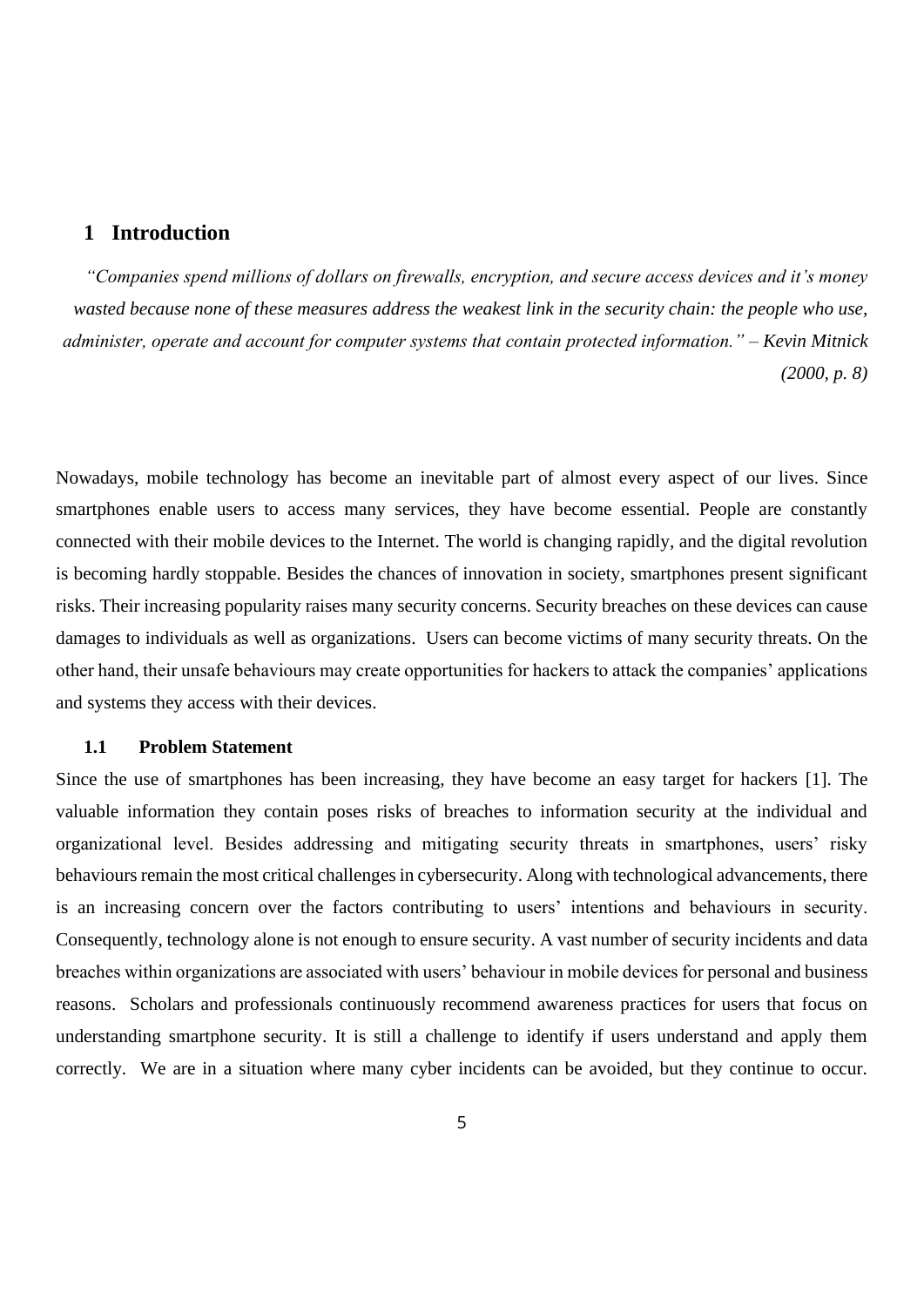# <span id="page-4-0"></span>**1 Introduction**

*"Companies spend millions of dollars on firewalls, encryption, and secure access devices and it's money wasted because none of these measures address the weakest link in the security chain: the people who use, administer, operate and account for computer systems that contain protected information." – Kevin Mitnick (2000, p. 8)*

Nowadays, mobile technology has become an inevitable part of almost every aspect of our lives. Since smartphones enable users to access many services, they have become essential. People are constantly connected with their mobile devices to the Internet. The world is changing rapidly, and the digital revolution is becoming hardly stoppable. Besides the chances of innovation in society, smartphones present significant risks. Their increasing popularity raises many security concerns. Security breaches on these devices can cause damages to individuals as well as organizations. Users can become victims of many security threats. On the other hand, their unsafe behaviours may create opportunities for hackers to attack the companies' applications and systems they access with their devices.

## <span id="page-4-1"></span>**1.1 Problem Statement**

Since the use of smartphones has been increasing, they have become an easy target for hackers [1]. The valuable information they contain poses risks of breaches to information security at the individual and organizational level. Besides addressing and mitigating security threats in smartphones, users' risky behaviours remain the most critical challenges in cybersecurity. Along with technological advancements, there is an increasing concern over the factors contributing to users' intentions and behaviours in security. Consequently, technology alone is not enough to ensure security. A vast number of security incidents and data breaches within organizations are associated with users' behaviour in mobile devices for personal and business reasons. Scholars and professionals continuously recommend awareness practices for users that focus on understanding smartphone security. It is still a challenge to identify if users understand and apply them correctly. We are in a situation where many cyber incidents can be avoided, but they continue to occur.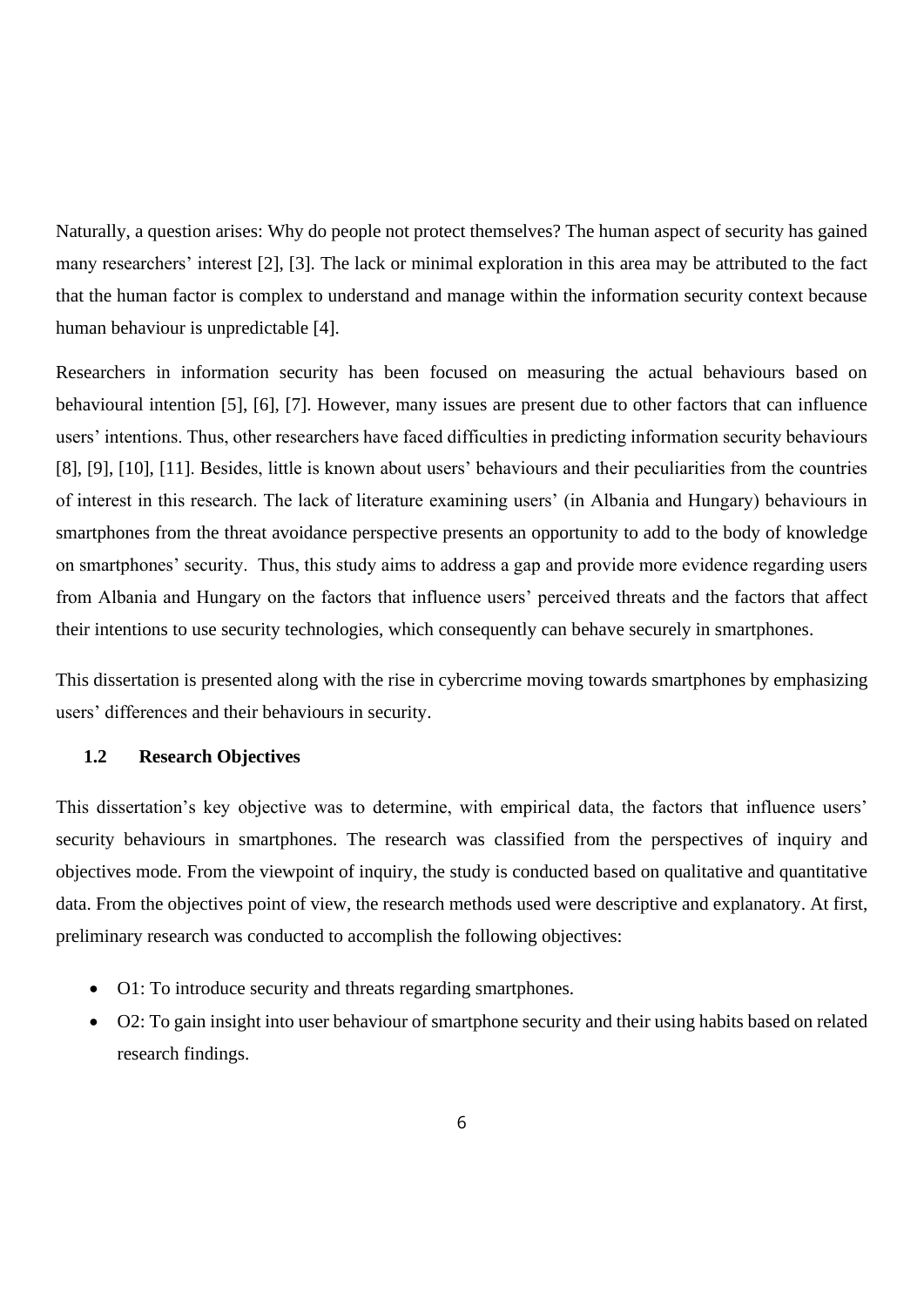Naturally, a question arises: Why do people not protect themselves? The human aspect of security has gained many researchers' interest [2], [3]. The lack or minimal exploration in this area may be attributed to the fact that the human factor is complex to understand and manage within the information security context because human behaviour is unpredictable [4].

Researchers in information security has been focused on measuring the actual behaviours based on behavioural intention [5], [6], [7]. However, many issues are present due to other factors that can influence users' intentions. Thus, other researchers have faced difficulties in predicting information security behaviours [8], [9], [10], [11]. Besides, little is known about users' behaviours and their peculiarities from the countries of interest in this research. The lack of literature examining users' (in Albania and Hungary) behaviours in smartphones from the threat avoidance perspective presents an opportunity to add to the body of knowledge on smartphones' security. Thus, this study aims to address a gap and provide more evidence regarding users from Albania and Hungary on the factors that influence users' perceived threats and the factors that affect their intentions to use security technologies, which consequently can behave securely in smartphones.

This dissertation is presented along with the rise in cybercrime moving towards smartphones by emphasizing users' differences and their behaviours in security.

## <span id="page-5-0"></span>**1.2 Research Objectives**

This dissertation's key objective was to determine, with empirical data, the factors that influence users' security behaviours in smartphones. The research was classified from the perspectives of inquiry and objectives mode. From the viewpoint of inquiry, the study is conducted based on qualitative and quantitative data. From the objectives point of view, the research methods used were descriptive and explanatory. At first, preliminary research was conducted to accomplish the following objectives:

- O1: To introduce security and threats regarding smartphones.
- O2: To gain insight into user behaviour of smartphone security and their using habits based on related research findings.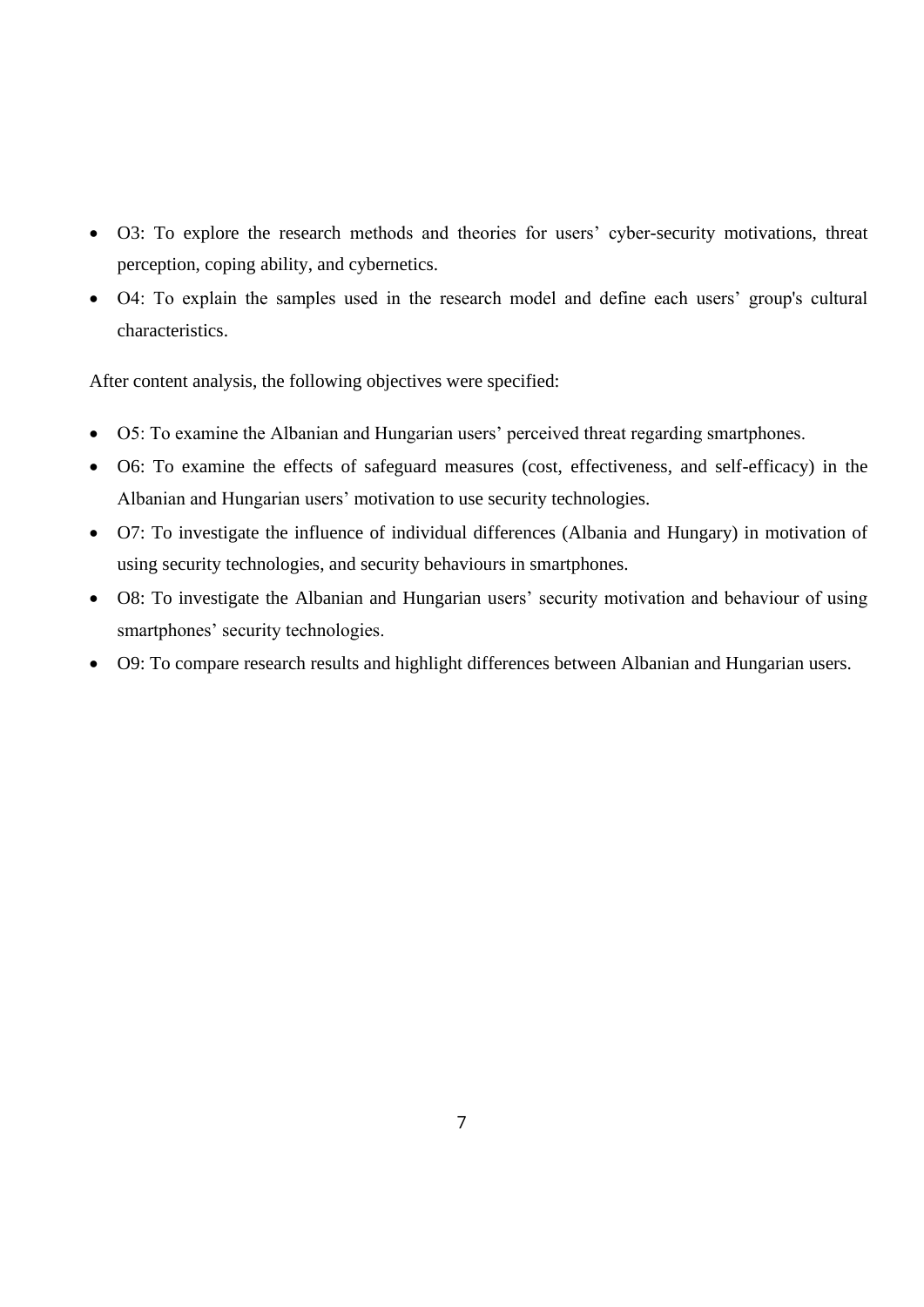- O3: To explore the research methods and theories for users' cyber-security motivations, threat perception, coping ability, and cybernetics.
- O4: To explain the samples used in the research model and define each users' group's cultural characteristics.

After content analysis, the following objectives were specified:

- O5: To examine the Albanian and Hungarian users' perceived threat regarding smartphones.
- O6: To examine the effects of safeguard measures (cost, effectiveness, and self-efficacy) in the Albanian and Hungarian users' motivation to use security technologies.
- O7: To investigate the influence of individual differences (Albania and Hungary) in motivation of using security technologies, and security behaviours in smartphones.
- O8: To investigate the Albanian and Hungarian users' security motivation and behaviour of using smartphones' security technologies.
- O9: To compare research results and highlight differences between Albanian and Hungarian users.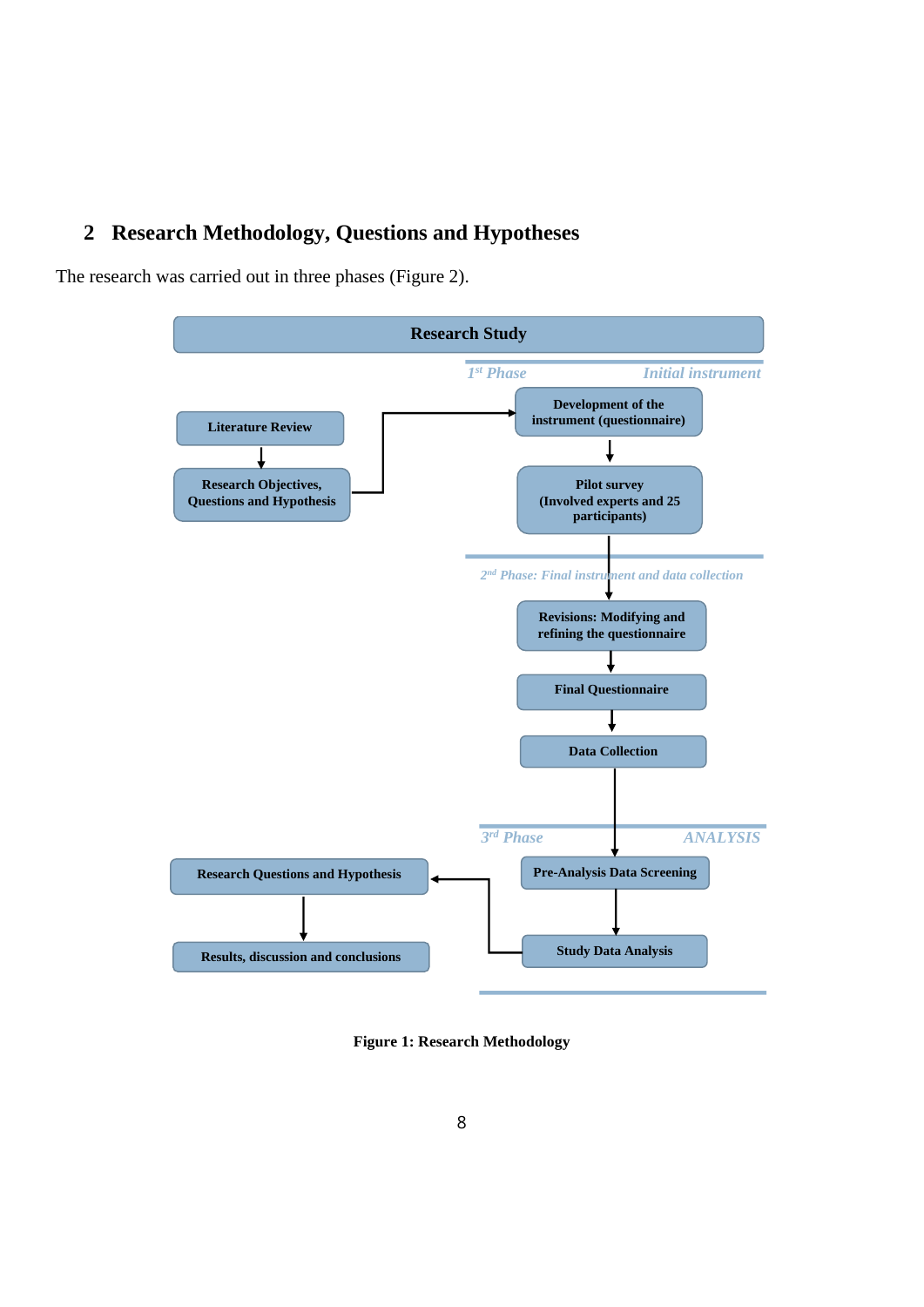# <span id="page-7-0"></span>**2 Research Methodology, Questions and Hypotheses**

The research was carried out in three phases (Figure 2).



**Figure 1: Research Methodology**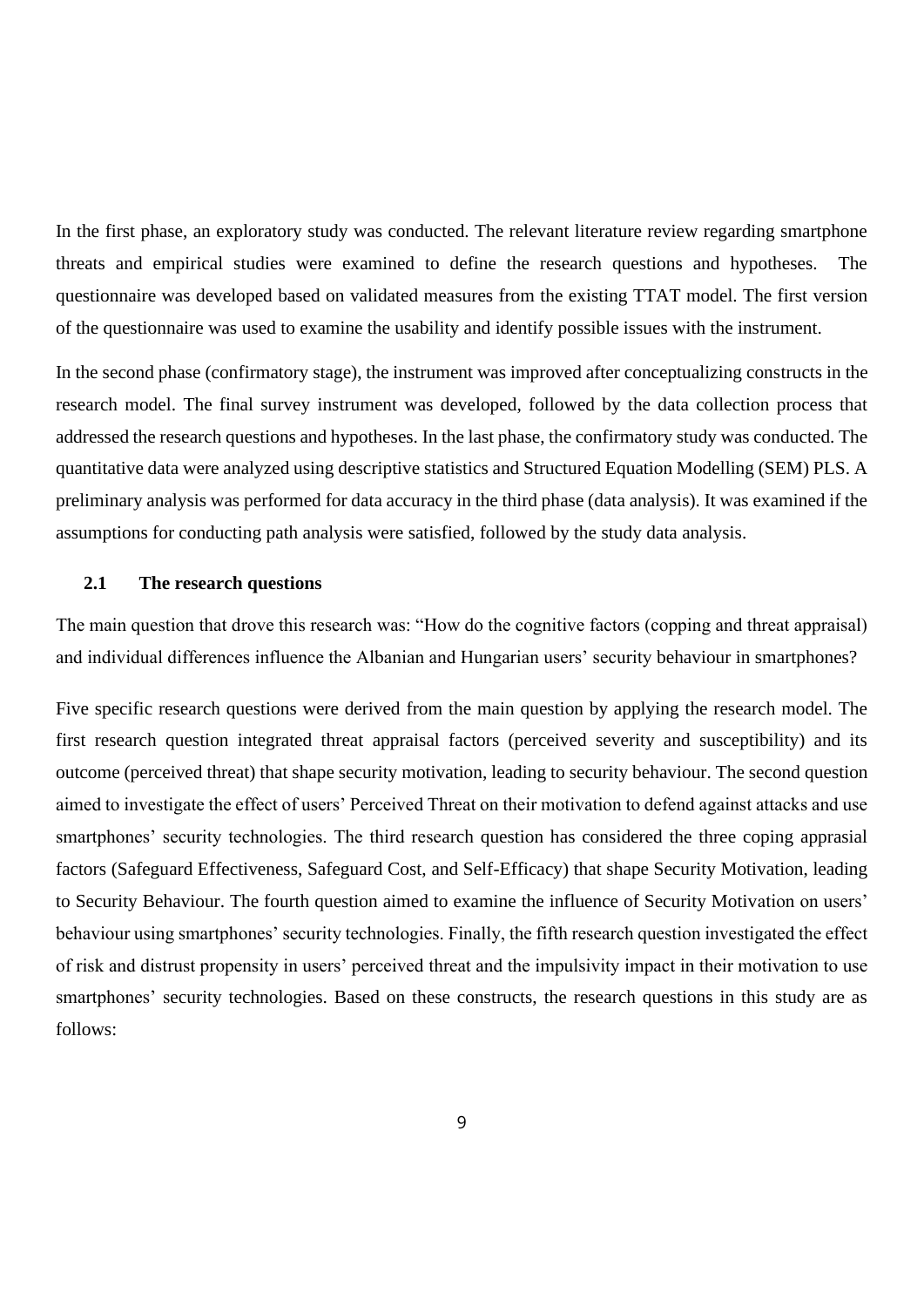In the first phase, an exploratory study was conducted. The relevant literature review regarding smartphone threats and empirical studies were examined to define the research questions and hypotheses. The questionnaire was developed based on validated measures from the existing TTAT model. The first version of the questionnaire was used to examine the usability and identify possible issues with the instrument.

In the second phase (confirmatory stage), the instrument was improved after conceptualizing constructs in the research model. The final survey instrument was developed, followed by the data collection process that addressed the research questions and hypotheses. In the last phase, the confirmatory study was conducted. The quantitative data were analyzed using descriptive statistics and Structured Equation Modelling (SEM) PLS. A preliminary analysis was performed for data accuracy in the third phase (data analysis). It was examined if the assumptions for conducting path analysis were satisfied, followed by the study data analysis.

#### <span id="page-8-0"></span>**2.1 The research questions**

The main question that drove this research was: "How do the cognitive factors (copping and threat appraisal) and individual differences influence the Albanian and Hungarian users' security behaviour in smartphones?

Five specific research questions were derived from the main question by applying the research model. The first research question integrated threat appraisal factors (perceived severity and susceptibility) and its outcome (perceived threat) that shape security motivation, leading to security behaviour. The second question aimed to investigate the effect of users' Perceived Threat on their motivation to defend against attacks and use smartphones' security technologies. The third research question has considered the three coping apprasial factors (Safeguard Effectiveness, Safeguard Cost, and Self-Efficacy) that shape Security Motivation, leading to Security Behaviour. The fourth question aimed to examine the influence of Security Motivation on users' behaviour using smartphones' security technologies. Finally, the fifth research question investigated the effect of risk and distrust propensity in users' perceived threat and the impulsivity impact in their motivation to use smartphones' security technologies. Based on these constructs, the research questions in this study are as follows: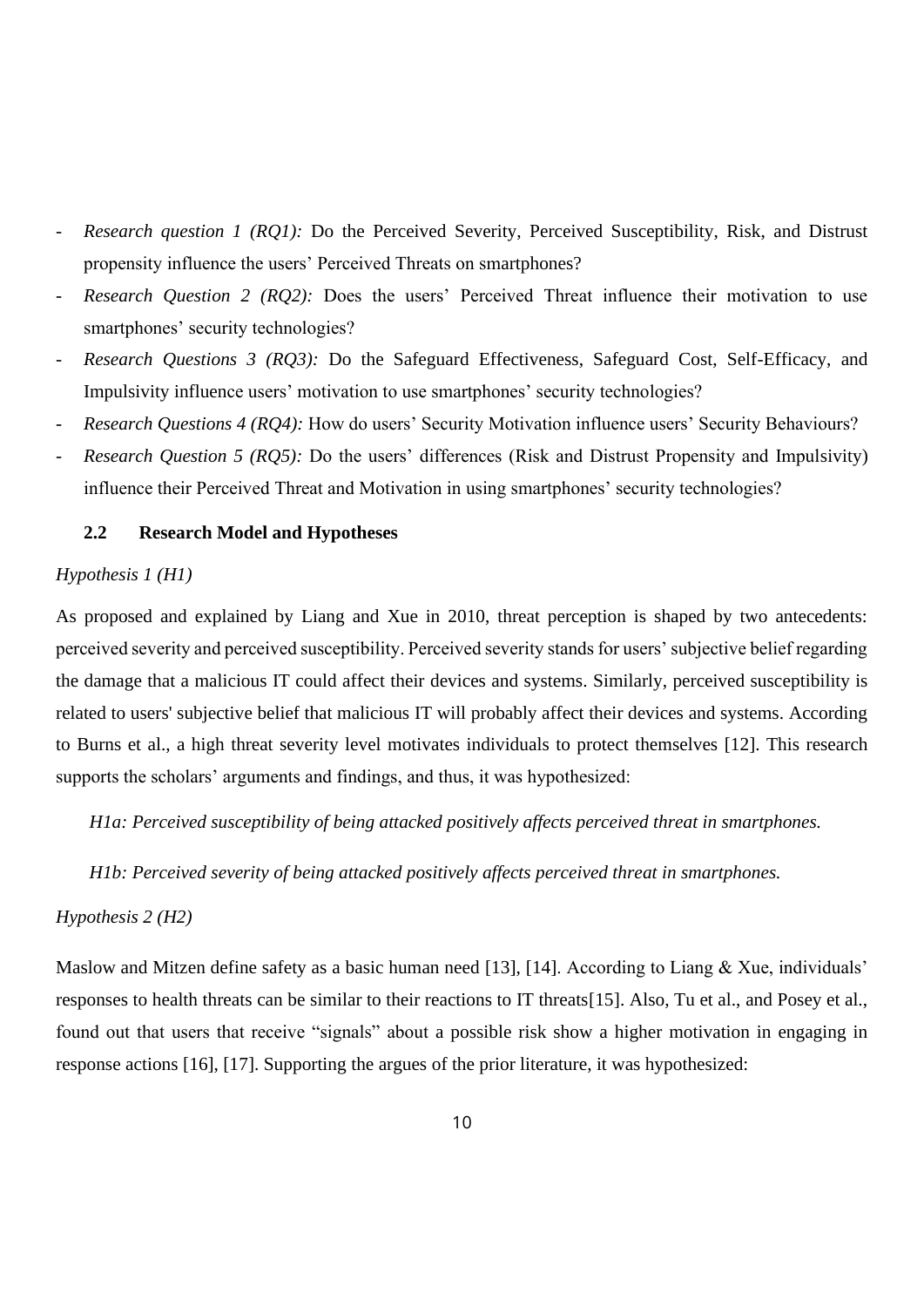- *Research question 1 (RQ1):* Do the Perceived Severity, Perceived Susceptibility, Risk, and Distrust propensity influence the users' Perceived Threats on smartphones?
- Research Question 2 (RQ2): Does the users' Perceived Threat influence their motivation to use smartphones' security technologies?
- *Research Questions 3 (RQ3):* Do the Safeguard Effectiveness, Safeguard Cost, Self-Efficacy, and Impulsivity influence users' motivation to use smartphones' security technologies?
- *Research Questions 4 (RQ4):* How do users' Security Motivation influence users' Security Behaviours?
- *Research Question 5 (RQ5):* Do the users' differences (Risk and Distrust Propensity and Impulsivity) influence their Perceived Threat and Motivation in using smartphones' security technologies?

#### <span id="page-9-0"></span>**2.2 Research Model and Hypotheses**

#### <span id="page-9-1"></span>*Hypothesis 1 (H1)*

As proposed and explained by Liang and Xue in 2010, threat perception is shaped by two antecedents: perceived severity and perceived susceptibility. Perceived severity stands for users' subjective belief regarding the damage that a malicious IT could affect their devices and systems. Similarly, perceived susceptibility is related to users' subjective belief that malicious IT will probably affect their devices and systems. According to Burns et al., a high threat severity level motivates individuals to protect themselves [12]. This research supports the scholars' arguments and findings, and thus, it was hypothesized:

*H1a: Perceived susceptibility of being attacked positively affects perceived threat in smartphones.* 

*H1b: Perceived severity of being attacked positively affects perceived threat in smartphones.*

## <span id="page-9-2"></span>*Hypothesis 2 (H2)*

Maslow and Mitzen define safety as a basic human need [13], [14]. According to Liang & Xue, individuals' responses to health threats can be similar to their reactions to IT threats[15]. Also, Tu et al., and Posey et al., found out that users that receive "signals" about a possible risk show a higher motivation in engaging in response actions [16], [17]. Supporting the argues of the prior literature, it was hypothesized: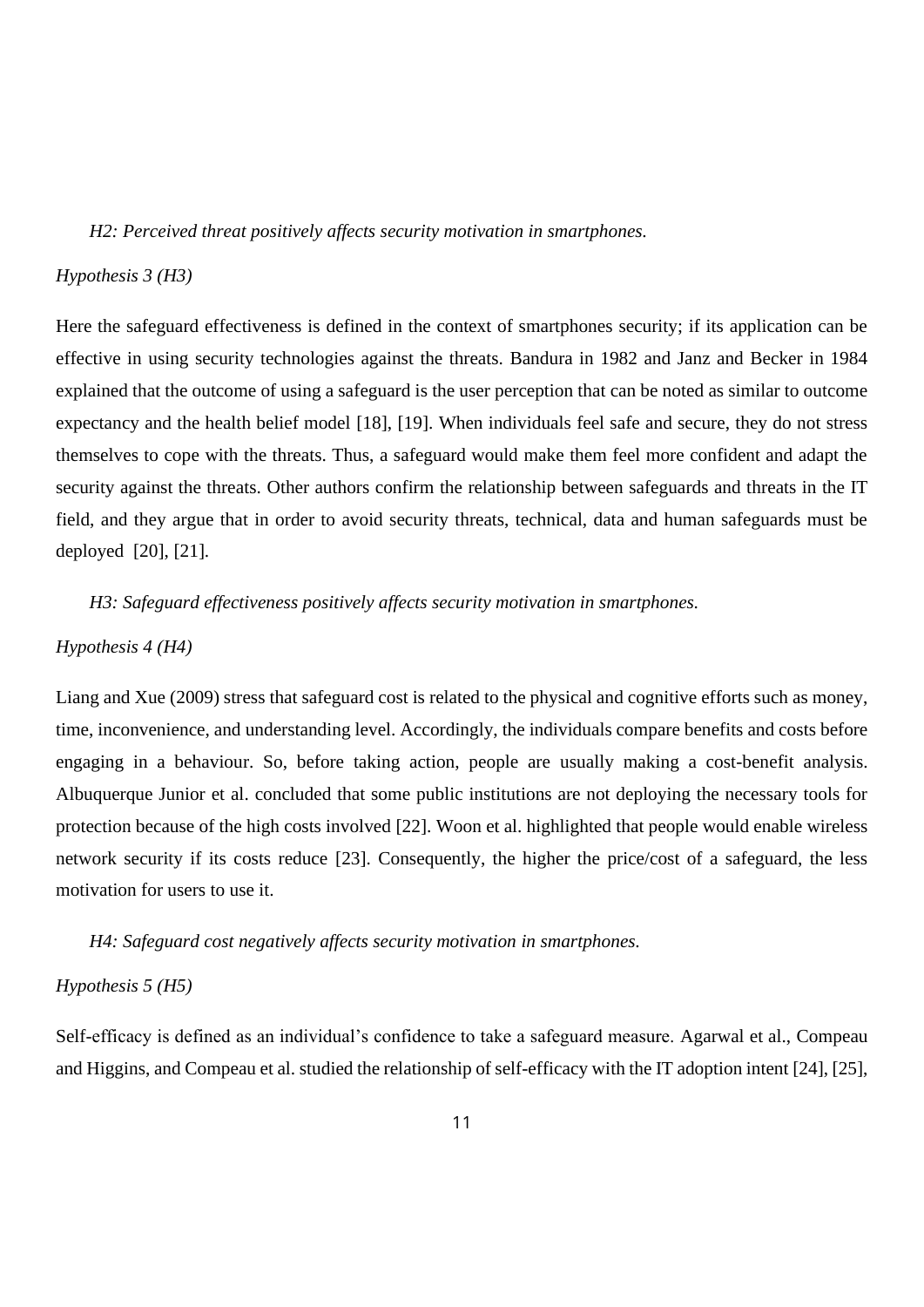*H2: Perceived threat positively affects security motivation in smartphones.*

#### <span id="page-10-0"></span>*Hypothesis 3 (H3)*

Here the safeguard effectiveness is defined in the context of smartphones security; if its application can be effective in using security technologies against the threats. Bandura in 1982 and Janz and Becker in 1984 explained that the outcome of using a safeguard is the user perception that can be noted as similar to outcome expectancy and the health belief model [18], [19]. When individuals feel safe and secure, they do not stress themselves to cope with the threats. Thus, a safeguard would make them feel more confident and adapt the security against the threats. Other authors confirm the relationship between safeguards and threats in the IT field, and they argue that in order to avoid security threats, technical, data and human safeguards must be deployed [20], [21].

*H3: Safeguard effectiveness positively affects security motivation in smartphones.*

#### <span id="page-10-1"></span>*Hypothesis 4 (H4)*

Liang and Xue (2009) stress that safeguard cost is related to the physical and cognitive efforts such as money, time, inconvenience, and understanding level. Accordingly, the individuals compare benefits and costs before engaging in a behaviour. So, before taking action, people are usually making a cost-benefit analysis. Albuquerque Junior et al. concluded that some public institutions are not deploying the necessary tools for protection because of the high costs involved [22]. Woon et al. highlighted that people would enable wireless network security if its costs reduce [23]. Consequently, the higher the price/cost of a safeguard, the less motivation for users to use it.

*H4: Safeguard cost negatively affects security motivation in smartphones.*

## <span id="page-10-2"></span>*Hypothesis 5 (H5)*

Self-efficacy is defined as an individual's confidence to take a safeguard measure. Agarwal et al., Compeau and Higgins, and Compeau et al. studied the relationship of self-efficacy with the IT adoption intent [24], [25],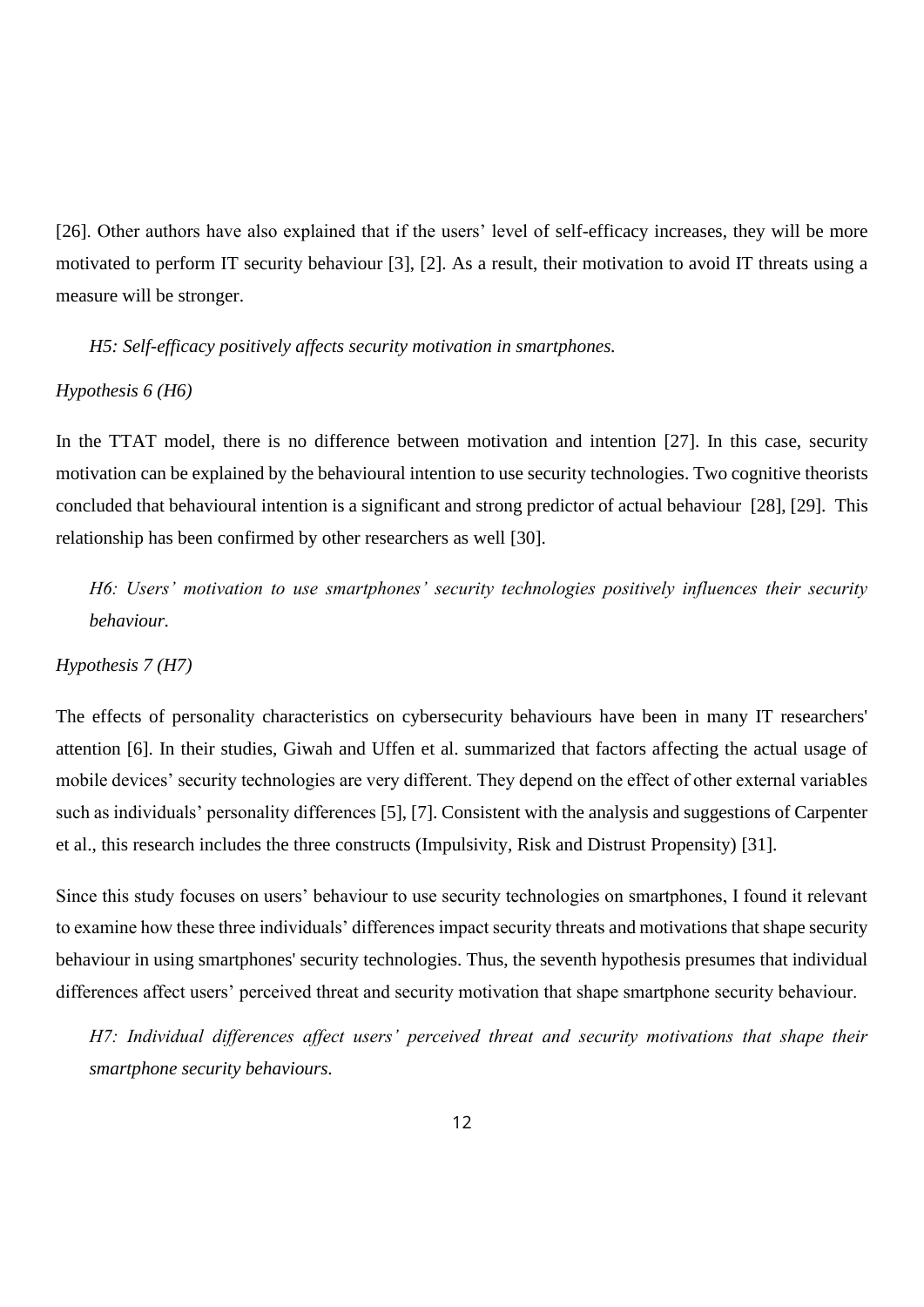[26]. Other authors have also explained that if the users' level of self-efficacy increases, they will be more motivated to perform IT security behaviour [3], [2]. As a result, their motivation to avoid IT threats using a measure will be stronger.

*H5: Self-efficacy positively affects security motivation in smartphones.*

#### <span id="page-11-0"></span>*Hypothesis 6 (H6)*

In the TTAT model, there is no difference between motivation and intention [27]. In this case, security motivation can be explained by the behavioural intention to use security technologies. Two cognitive theorists concluded that behavioural intention is a significant and strong predictor of actual behaviour [28], [29]. This relationship has been confirmed by other researchers as well [30].

*H6: Users' motivation to use smartphones' security technologies positively influences their security behaviour.*

#### <span id="page-11-1"></span>*Hypothesis 7 (H7)*

The effects of personality characteristics on cybersecurity behaviours have been in many IT researchers' attention [6]. In their studies, Giwah and Uffen et al. summarized that factors affecting the actual usage of mobile devices' security technologies are very different. They depend on the effect of other external variables such as individuals' personality differences [5], [7]. Consistent with the analysis and suggestions of Carpenter et al., this research includes the three constructs (Impulsivity, Risk and Distrust Propensity) [31].

Since this study focuses on users' behaviour to use security technologies on smartphones, I found it relevant to examine how these three individuals' differences impact security threats and motivations that shape security behaviour in using smartphones' security technologies. Thus, the seventh hypothesis presumes that individual differences affect users' perceived threat and security motivation that shape smartphone security behaviour.

*H7: Individual differences affect users' perceived threat and security motivations that shape their smartphone security behaviours.*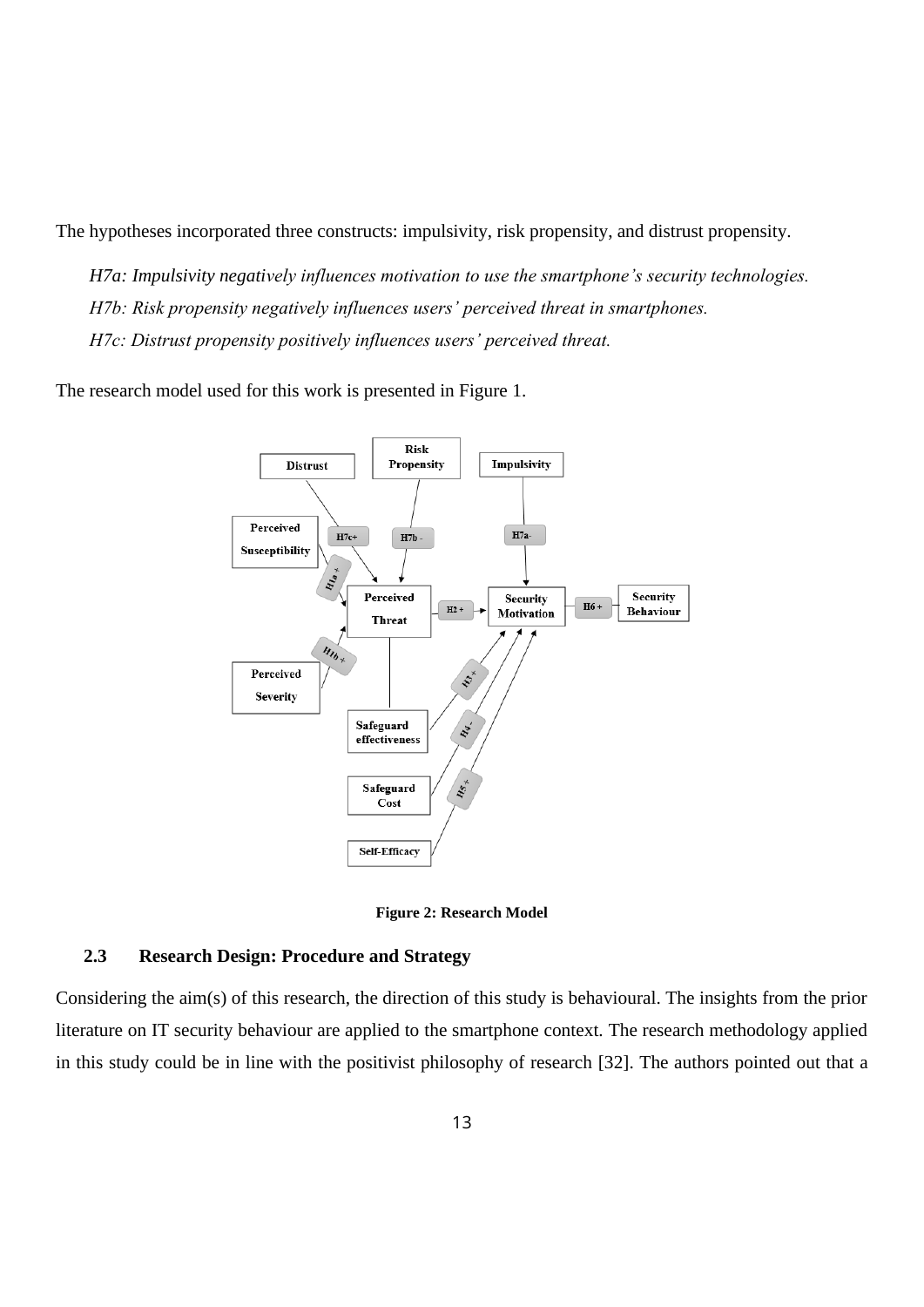The hypotheses incorporated three constructs: impulsivity, risk propensity, and distrust propensity.

*H7a: Impulsivity negatively influences motivation to use the smartphone's security technologies. H7b: Risk propensity negatively influences users' perceived threat in smartphones. H7c: Distrust propensity positively influences users' perceived threat.*

The research model used for this work is presented in Figure 1.



**Figure 2: Research Model**

#### <span id="page-12-0"></span>**2.3 Research Design: Procedure and Strategy**

Considering the aim(s) of this research, the direction of this study is behavioural. The insights from the prior literature on IT security behaviour are applied to the smartphone context. The research methodology applied in this study could be in line with the positivist philosophy of research [32]. The authors pointed out that a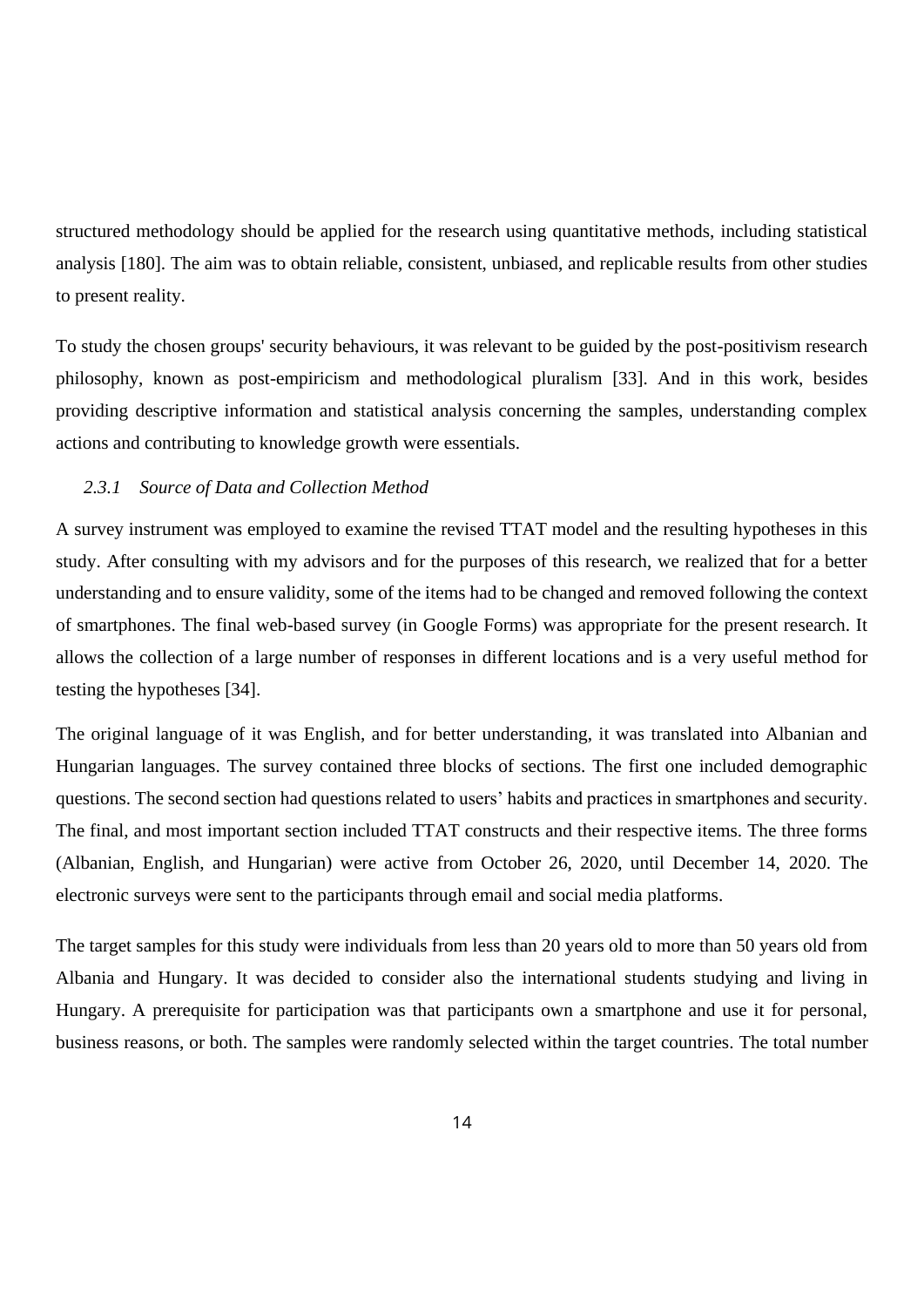structured methodology should be applied for the research using quantitative methods, including statistical analysis [180]. The aim was to obtain reliable, consistent, unbiased, and replicable results from other studies to present reality.

To study the chosen groups' security behaviours, it was relevant to be guided by the post-positivism research philosophy, known as post-empiricism and methodological pluralism [33]. And in this work, besides providing descriptive information and statistical analysis concerning the samples, understanding complex actions and contributing to knowledge growth were essentials.

#### <span id="page-13-0"></span>*2.3.1 Source of Data and Collection Method*

A survey instrument was employed to examine the revised TTAT model and the resulting hypotheses in this study. After consulting with my advisors and for the purposes of this research, we realized that for a better understanding and to ensure validity, some of the items had to be changed and removed following the context of smartphones. The final web-based survey (in Google Forms) was appropriate for the present research. It allows the collection of a large number of responses in different locations and is a very useful method for testing the hypotheses [34].

The original language of it was English, and for better understanding, it was translated into Albanian and Hungarian languages. The survey contained three blocks of sections. The first one included demographic questions. The second section had questions related to users' habits and practices in smartphones and security. The final, and most important section included TTAT constructs and their respective items. The three forms (Albanian, English, and Hungarian) were active from October 26, 2020, until December 14, 2020. The electronic surveys were sent to the participants through email and social media platforms.

The target samples for this study were individuals from less than 20 years old to more than 50 years old from Albania and Hungary. It was decided to consider also the international students studying and living in Hungary. A prerequisite for participation was that participants own a smartphone and use it for personal, business reasons, or both. The samples were randomly selected within the target countries. The total number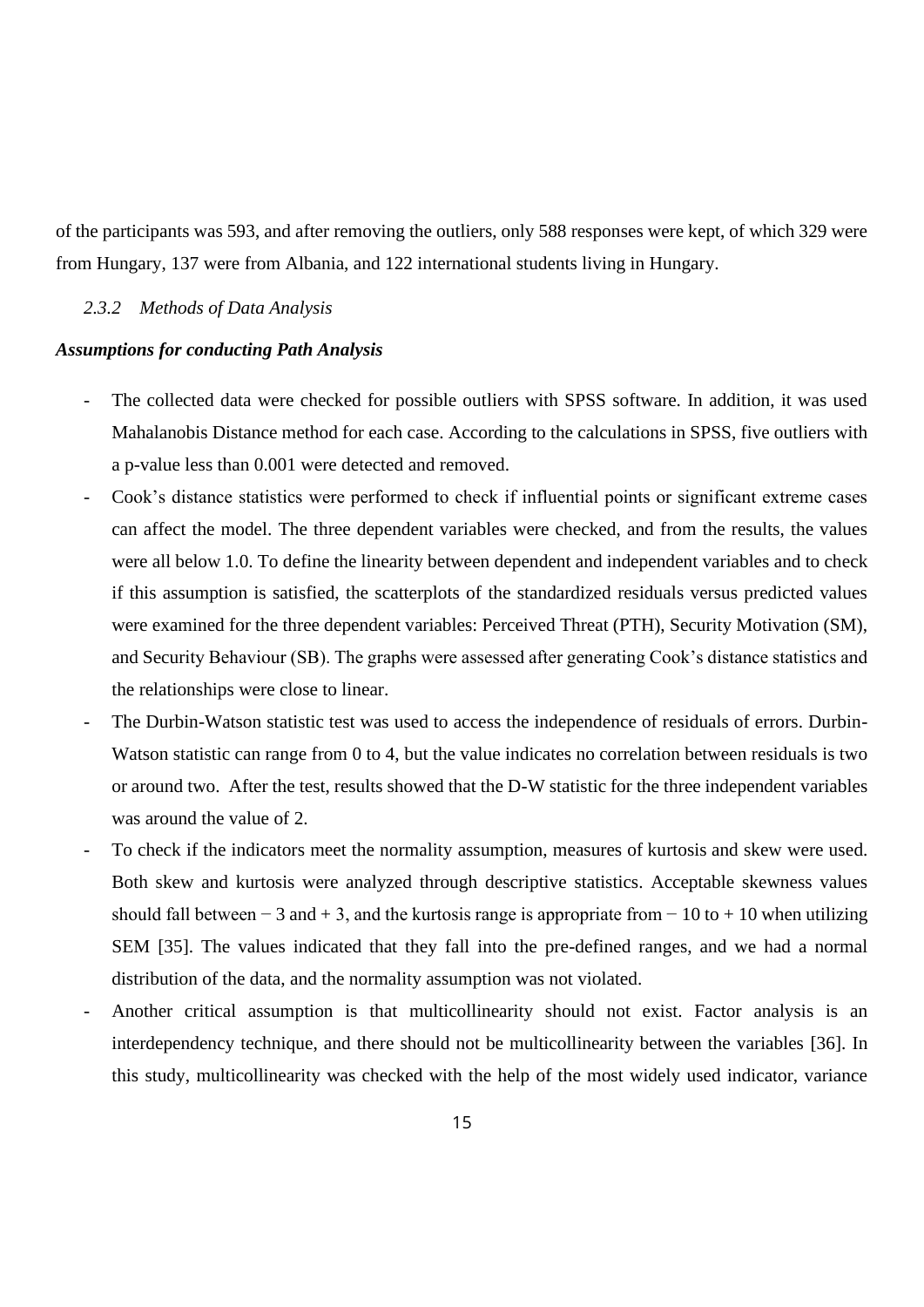of the participants was 593, and after removing the outliers, only 588 responses were kept, of which 329 were from Hungary, 137 were from Albania, and 122 international students living in Hungary.

## <span id="page-14-0"></span>*2.3.2 Methods of Data Analysis*

#### *Assumptions for conducting Path Analysis*

- The collected data were checked for possible outliers with SPSS software. In addition, it was used Mahalanobis Distance method for each case. According to the calculations in SPSS, five outliers with a p-value less than 0.001 were detected and removed.
- Cook's distance statistics were performed to check if influential points or significant extreme cases can affect the model. The three dependent variables were checked, and from the results, the values were all below 1.0. To define the linearity between dependent and independent variables and to check if this assumption is satisfied, the scatterplots of the standardized residuals versus predicted values were examined for the three dependent variables: Perceived Threat (PTH), Security Motivation (SM), and Security Behaviour (SB). The graphs were assessed after generating Cook's distance statistics and the relationships were close to linear.
- The Durbin-Watson statistic test was used to access the independence of residuals of errors. Durbin-Watson statistic can range from 0 to 4, but the value indicates no correlation between residuals is two or around two. After the test, results showed that the D-W statistic for the three independent variables was around the value of 2.
- To check if the indicators meet the normality assumption, measures of kurtosis and skew were used. Both skew and kurtosis were analyzed through descriptive statistics. Acceptable skewness values should fall between – 3 and + 3, and the kurtosis range is appropriate from – 10 to + 10 when utilizing SEM [35]. The values indicated that they fall into the pre-defined ranges, and we had a normal distribution of the data, and the normality assumption was not violated.
- Another critical assumption is that multicollinearity should not exist. Factor analysis is an interdependency technique, and there should not be multicollinearity between the variables [36]. In this study, multicollinearity was checked with the help of the most widely used indicator, variance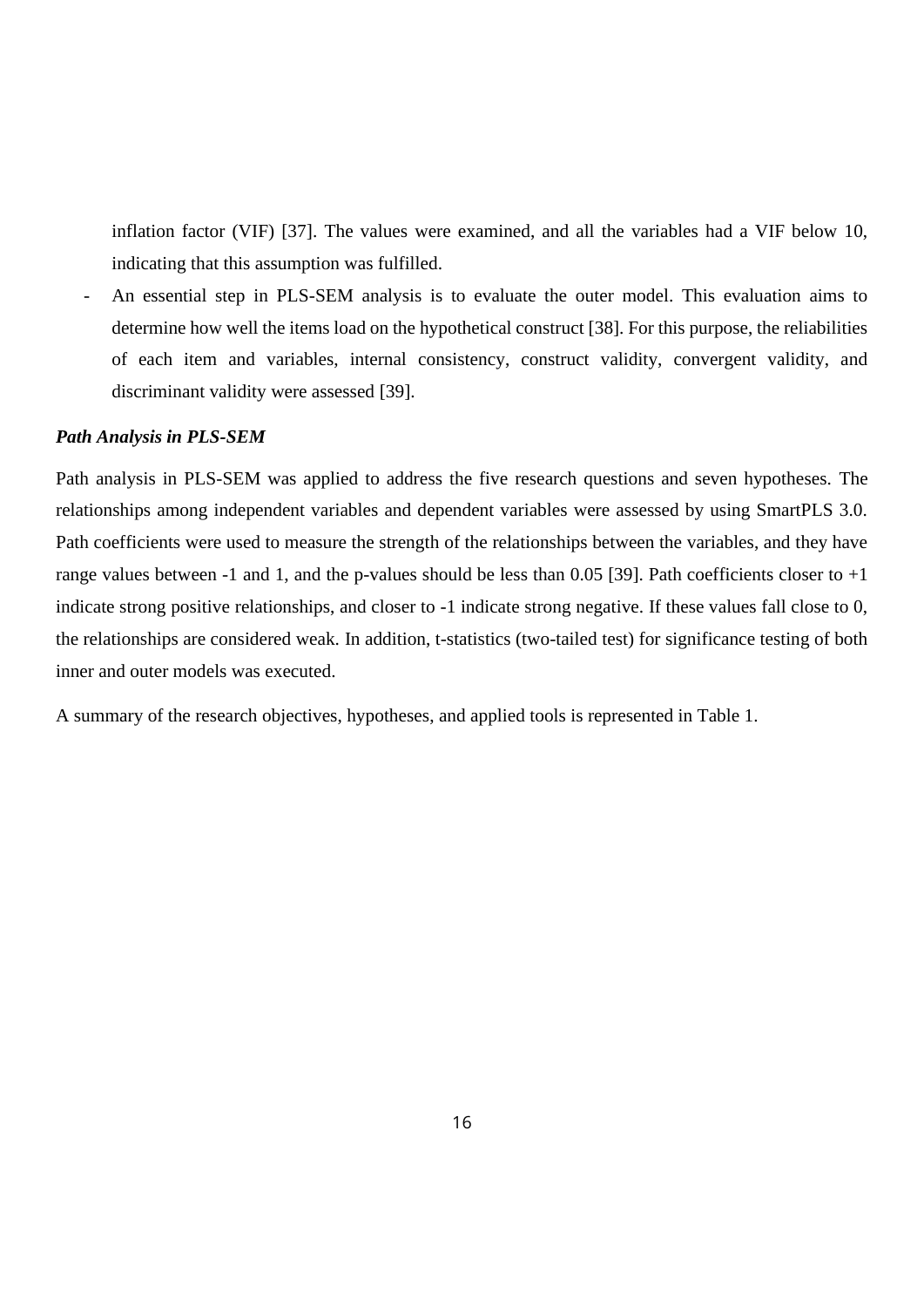inflation factor (VIF) [37]. The values were examined, and all the variables had a VIF below 10, indicating that this assumption was fulfilled.

An essential step in PLS-SEM analysis is to evaluate the outer model. This evaluation aims to determine how well the items load on the hypothetical construct [38]. For this purpose, the reliabilities of each item and variables, internal consistency, construct validity, convergent validity, and discriminant validity were assessed [39].

## *Path Analysis in PLS-SEM*

Path analysis in PLS-SEM was applied to address the five research questions and seven hypotheses. The relationships among independent variables and dependent variables were assessed by using SmartPLS 3.0. Path coefficients were used to measure the strength of the relationships between the variables, and they have range values between -1 and 1, and the p-values should be less than 0.05 [39]. Path coefficients closer to  $+1$ indicate strong positive relationships, and closer to -1 indicate strong negative. If these values fall close to 0, the relationships are considered weak. In addition, t-statistics (two-tailed test) for significance testing of both inner and outer models was executed.

A summary of the research objectives, hypotheses, and applied tools is represented in Table 1.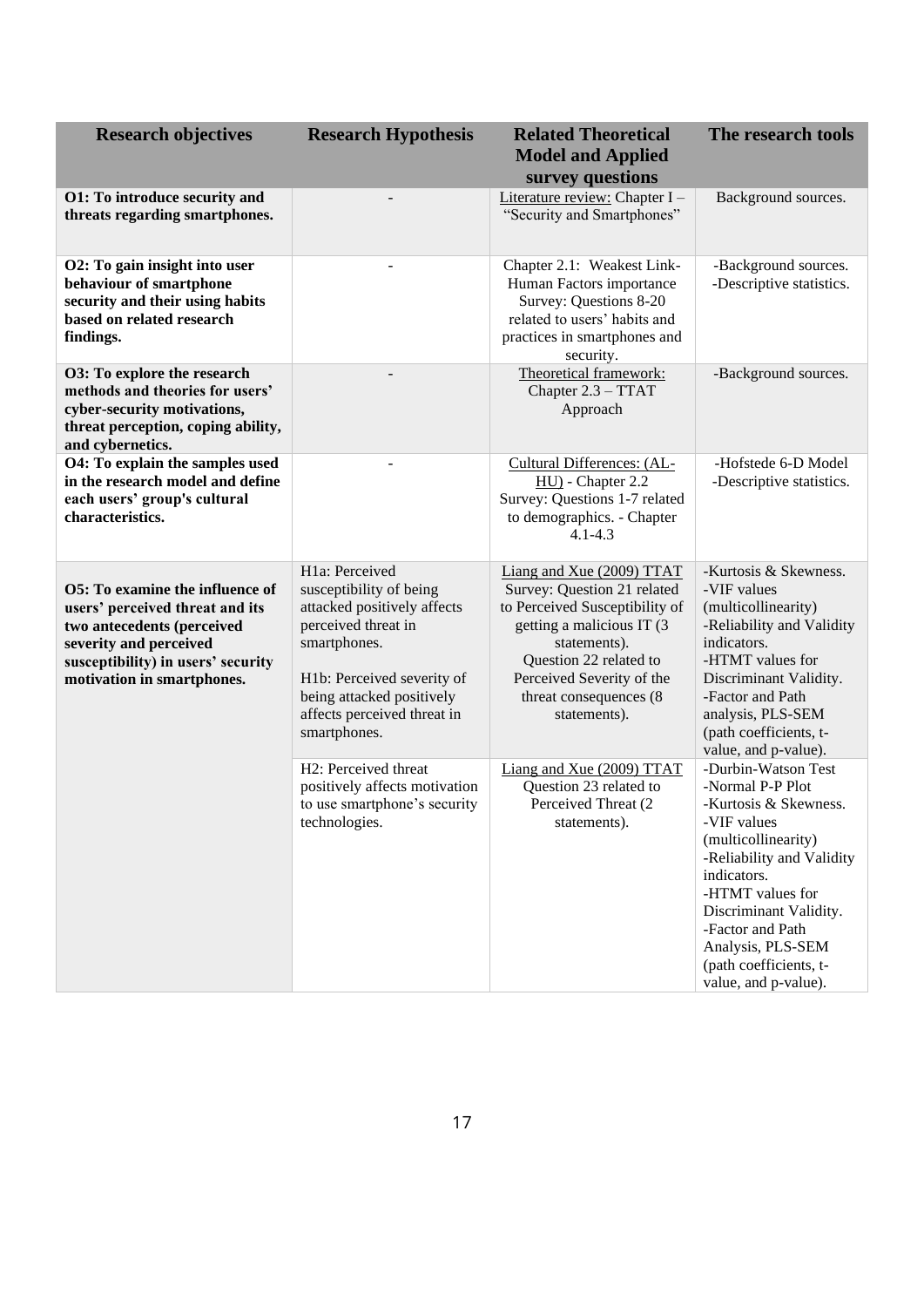| <b>Research objectives</b>                                                                                                                                                                            | <b>Research Hypothesis</b>                                                                                                                                                                                                             | <b>Related Theoretical</b><br><b>Model and Applied</b><br>survey questions                                                                                                                                                                | The research tools                                                                                                                                                                                                                                                                          |
|-------------------------------------------------------------------------------------------------------------------------------------------------------------------------------------------------------|----------------------------------------------------------------------------------------------------------------------------------------------------------------------------------------------------------------------------------------|-------------------------------------------------------------------------------------------------------------------------------------------------------------------------------------------------------------------------------------------|---------------------------------------------------------------------------------------------------------------------------------------------------------------------------------------------------------------------------------------------------------------------------------------------|
| O1: To introduce security and<br>threats regarding smartphones.                                                                                                                                       |                                                                                                                                                                                                                                        | Literature review: Chapter I -<br>"Security and Smartphones"                                                                                                                                                                              | Background sources.                                                                                                                                                                                                                                                                         |
| O2: To gain insight into user<br>behaviour of smartphone<br>security and their using habits<br>based on related research<br>findings.                                                                 |                                                                                                                                                                                                                                        | Chapter 2.1: Weakest Link-<br>Human Factors importance<br>Survey: Questions 8-20<br>related to users' habits and<br>practices in smartphones and<br>security.                                                                             | -Background sources.<br>-Descriptive statistics.                                                                                                                                                                                                                                            |
| O3: To explore the research<br>methods and theories for users'<br>cyber-security motivations,<br>threat perception, coping ability,<br>and cybernetics.                                               |                                                                                                                                                                                                                                        | Theoretical framework:<br>Chapter 2.3 - TTAT<br>Approach                                                                                                                                                                                  | -Background sources.                                                                                                                                                                                                                                                                        |
| O4: To explain the samples used<br>in the research model and define<br>each users' group's cultural<br>characteristics.                                                                               |                                                                                                                                                                                                                                        | Cultural Differences: (AL-<br>HU) - Chapter 2.2<br>Survey: Questions 1-7 related<br>to demographics. - Chapter<br>$4.1 - 4.3$                                                                                                             | -Hofstede 6-D Model<br>-Descriptive statistics.                                                                                                                                                                                                                                             |
| <b>O5:</b> To examine the influence of<br>users' perceived threat and its<br>two antecedents (perceived<br>severity and perceived<br>susceptibility) in users' security<br>motivation in smartphones. | H <sub>1</sub> a: Perceived<br>susceptibility of being<br>attacked positively affects<br>perceived threat in<br>smartphones.<br>H1b: Perceived severity of<br>being attacked positively<br>affects perceived threat in<br>smartphones. | Liang and Xue (2009) TTAT<br>Survey: Question 21 related<br>to Perceived Susceptibility of<br>getting a malicious IT (3)<br>statements).<br>Question 22 related to<br>Perceived Severity of the<br>threat consequences (8<br>statements). | -Kurtosis & Skewness.<br>-VIF values<br>(multicollinearity)<br>-Reliability and Validity<br>indicators.<br>-HTMT values for<br>Discriminant Validity.<br>-Factor and Path<br>analysis, PLS-SEM<br>(path coefficients, t-<br>value, and p-value).                                            |
|                                                                                                                                                                                                       | H2: Perceived threat<br>positively affects motivation<br>to use smartphone's security<br>technologies.                                                                                                                                 | Liang and Xue (2009) TTAT<br>Question 23 related to<br>Perceived Threat (2)<br>statements).                                                                                                                                               | -Durbin-Watson Test<br>-Normal P-P Plot<br>-Kurtosis & Skewness.<br>-VIF values<br>(multicollinearity)<br>-Reliability and Validity<br>indicators.<br>-HTMT values for<br>Discriminant Validity.<br>-Factor and Path<br>Analysis, PLS-SEM<br>(path coefficients, t-<br>value, and p-value). |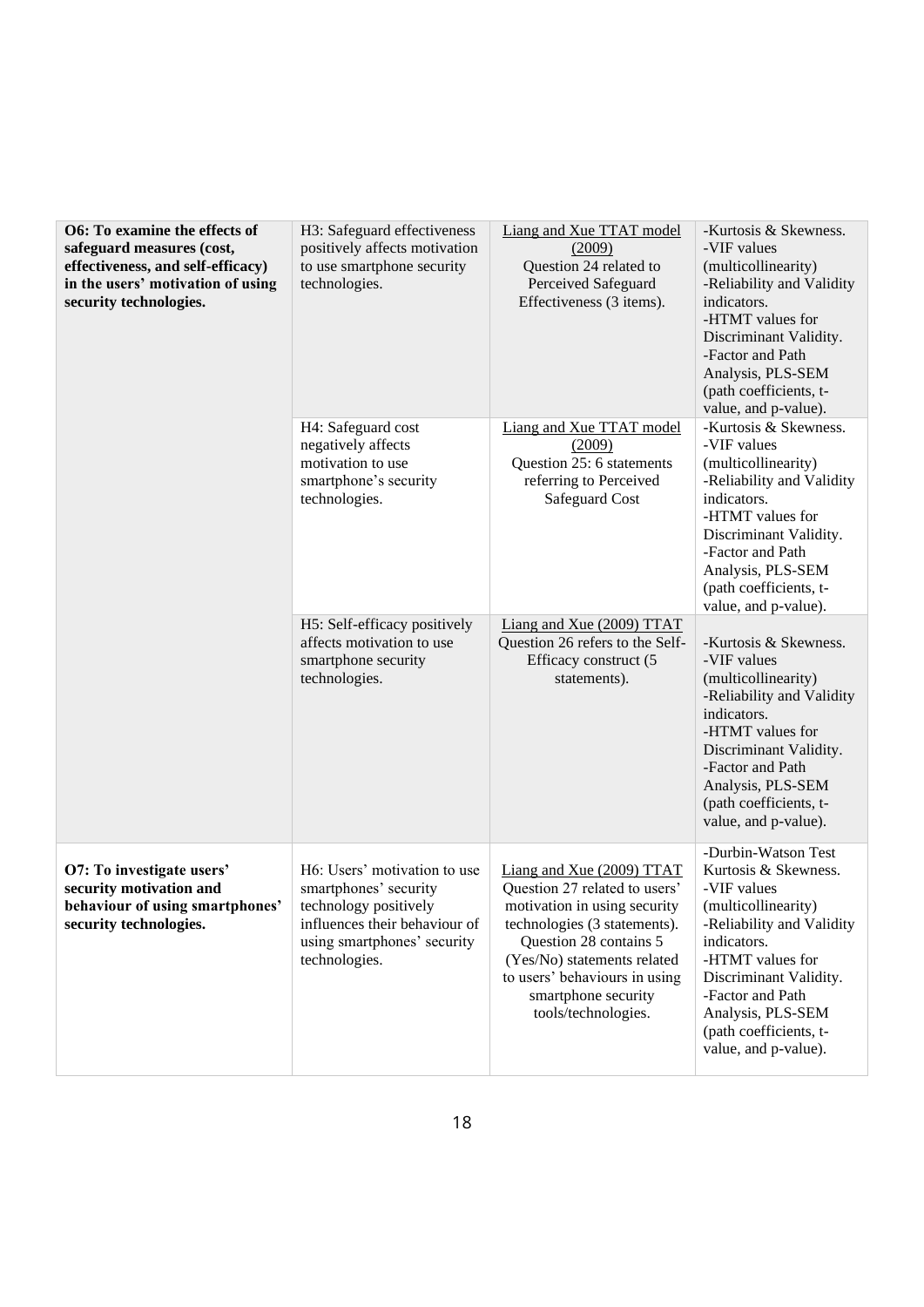| O6: To examine the effects of<br>safeguard measures (cost,<br>effectiveness, and self-efficacy)<br>in the users' motivation of using<br>security technologies. | H3: Safeguard effectiveness<br>positively affects motivation<br>to use smartphone security<br>technologies.                                                     | Liang and Xue TTAT model<br>(2009)<br>Question 24 related to<br>Perceived Safeguard<br>Effectiveness (3 items).                                                                                                                                                    | -Kurtosis & Skewness.<br>-VIF values<br>(multicollinearity)<br>-Reliability and Validity<br>indicators.<br>-HTMT values for<br>Discriminant Validity.<br>-Factor and Path<br>Analysis, PLS-SEM<br>(path coefficients, t-<br>value, and p-value).                       |  |
|----------------------------------------------------------------------------------------------------------------------------------------------------------------|-----------------------------------------------------------------------------------------------------------------------------------------------------------------|--------------------------------------------------------------------------------------------------------------------------------------------------------------------------------------------------------------------------------------------------------------------|------------------------------------------------------------------------------------------------------------------------------------------------------------------------------------------------------------------------------------------------------------------------|--|
|                                                                                                                                                                | H4: Safeguard cost<br>negatively affects<br>motivation to use<br>smartphone's security<br>technologies.                                                         | Liang and Xue TTAT model<br>(2009)<br>Question 25: 6 statements<br>referring to Perceived<br>Safeguard Cost                                                                                                                                                        | -Kurtosis & Skewness.<br>-VIF values<br>(multicollinearity)<br>-Reliability and Validity<br>indicators.<br>-HTMT values for<br>Discriminant Validity.<br>-Factor and Path<br>Analysis, PLS-SEM<br>(path coefficients, t-<br>value, and p-value).                       |  |
|                                                                                                                                                                | H5: Self-efficacy positively<br>affects motivation to use<br>smartphone security<br>technologies.                                                               | Liang and Xue (2009) TTAT<br>Question 26 refers to the Self-<br>Efficacy construct (5<br>statements).                                                                                                                                                              | -Kurtosis & Skewness.<br>-VIF values<br>(multicollinearity)<br>-Reliability and Validity<br>indicators.<br>-HTMT values for<br>Discriminant Validity.<br>-Factor and Path<br>Analysis, PLS-SEM<br>(path coefficients, t-<br>value, and p-value).                       |  |
| O7: To investigate users'<br>security motivation and<br>behaviour of using smartphones'<br>security technologies.                                              | H6: Users' motivation to use<br>smartphones' security<br>technology positively<br>influences their behaviour of<br>using smartphones' security<br>technologies. | Liang and Xue (2009) TTAT<br>Question 27 related to users'<br>motivation in using security<br>technologies (3 statements).<br>Question 28 contains 5<br>(Yes/No) statements related<br>to users' behaviours in using<br>smartphone security<br>tools/technologies. | -Durbin-Watson Test<br>Kurtosis & Skewness.<br>-VIF values<br>(multicollinearity)<br>-Reliability and Validity<br>indicators.<br>-HTMT values for<br>Discriminant Validity.<br>-Factor and Path<br>Analysis, PLS-SEM<br>(path coefficients, t-<br>value, and p-value). |  |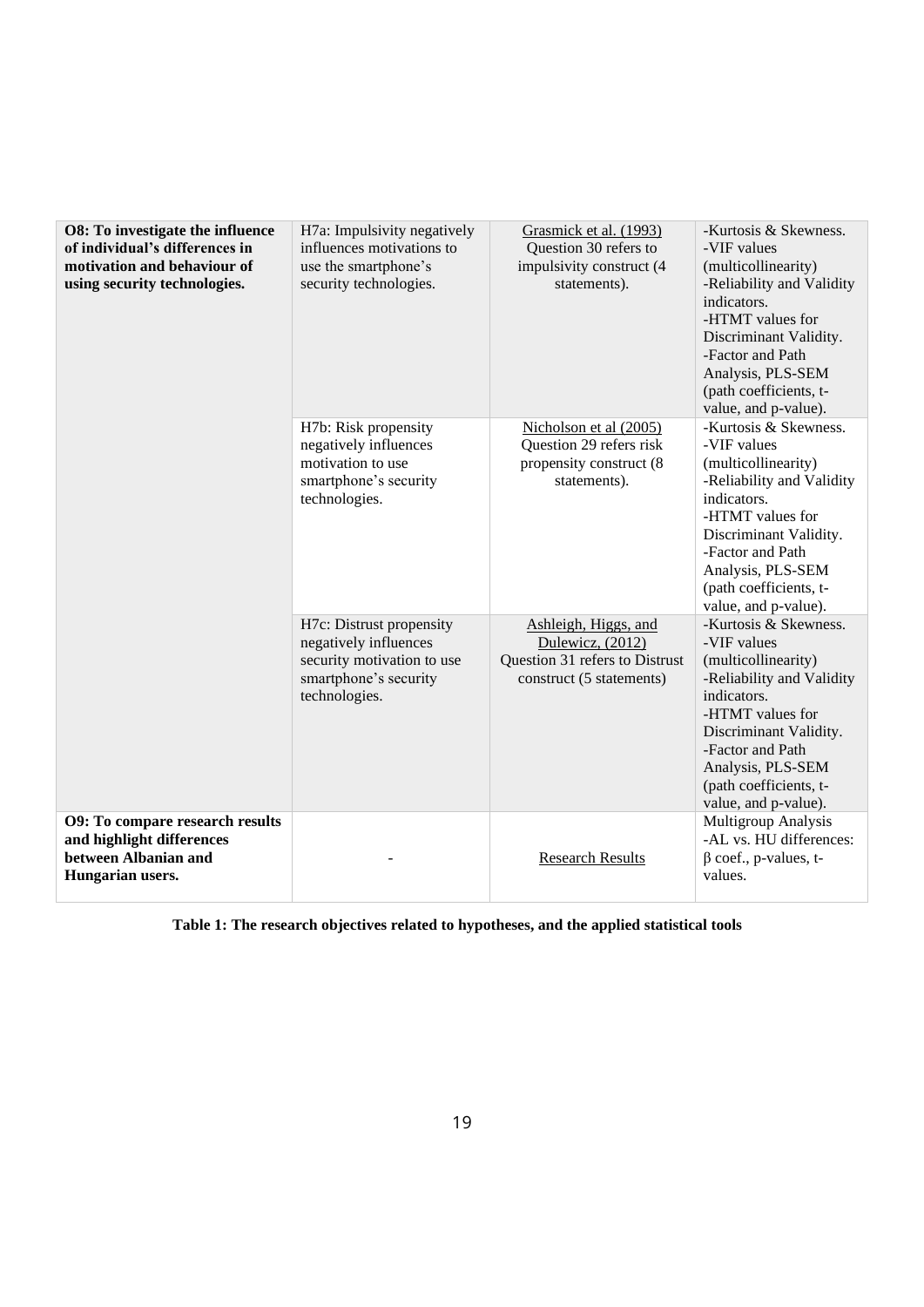| O8: To investigate the influence<br>of individual's differences in<br>motivation and behaviour of<br>using security technologies. | H7a: Impulsivity negatively<br>influences motivations to<br>use the smartphone's<br>security technologies.                | Grasmick et al. (1993)<br>Question 30 refers to<br>impulsivity construct (4<br>statements).            | -Kurtosis & Skewness.<br>-VIF values<br>(multicollinearity)<br>-Reliability and Validity<br>indicators.<br>-HTMT values for<br>Discriminant Validity.<br>-Factor and Path<br>Analysis, PLS-SEM<br>(path coefficients, t-<br>value, and p-value). |
|-----------------------------------------------------------------------------------------------------------------------------------|---------------------------------------------------------------------------------------------------------------------------|--------------------------------------------------------------------------------------------------------|--------------------------------------------------------------------------------------------------------------------------------------------------------------------------------------------------------------------------------------------------|
|                                                                                                                                   | H7b: Risk propensity<br>negatively influences<br>motivation to use<br>smartphone's security<br>technologies.              | Nicholson et al (2005)<br>Question 29 refers risk<br>propensity construct (8<br>statements).           | -Kurtosis & Skewness.<br>-VIF values<br>(multicollinearity)<br>-Reliability and Validity<br>indicators.<br>-HTMT values for<br>Discriminant Validity.<br>-Factor and Path<br>Analysis, PLS-SEM<br>(path coefficients, t-<br>value, and p-value). |
|                                                                                                                                   | H7c: Distrust propensity<br>negatively influences<br>security motivation to use<br>smartphone's security<br>technologies. | Ashleigh, Higgs, and<br>Dulewicz, (2012)<br>Question 31 refers to Distrust<br>construct (5 statements) | -Kurtosis & Skewness.<br>-VIF values<br>(multicollinearity)<br>-Reliability and Validity<br>indicators.<br>-HTMT values for<br>Discriminant Validity.<br>-Factor and Path<br>Analysis, PLS-SEM<br>(path coefficients, t-<br>value, and p-value). |
| <b>O9: To compare research results</b><br>and highlight differences<br>between Albanian and<br>Hungarian users.                   |                                                                                                                           | <b>Research Results</b>                                                                                | Multigroup Analysis<br>-AL vs. HU differences:<br>$\beta$ coef., p-values, t-<br>values.                                                                                                                                                         |

**Table 1: The research objectives related to hypotheses, and the applied statistical tools**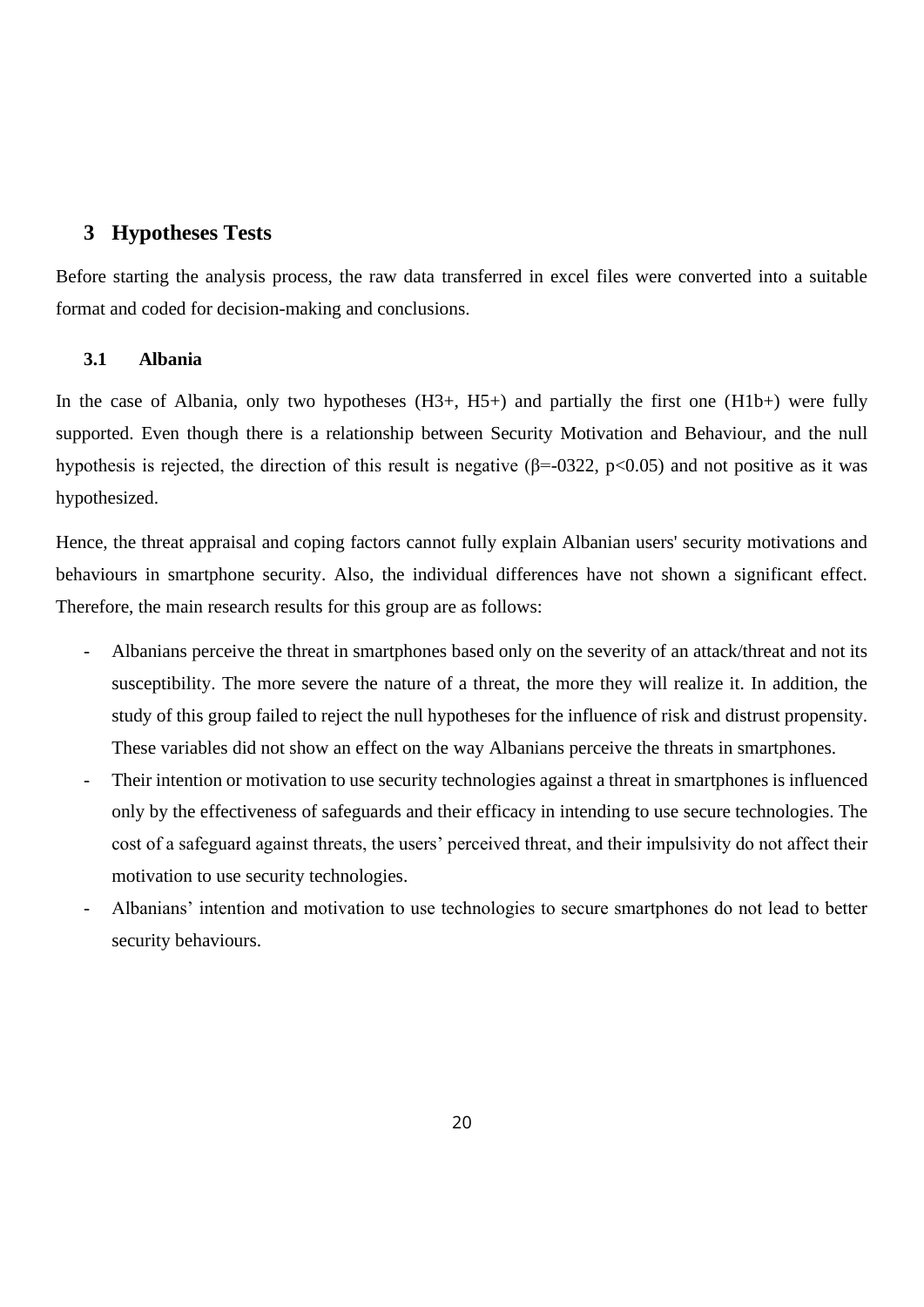# <span id="page-19-0"></span>**3 Hypotheses Tests**

Before starting the analysis process, the raw data transferred in excel files were converted into a suitable format and coded for decision-making and conclusions.

## <span id="page-19-1"></span>**3.1 Albania**

In the case of Albania, only two hypotheses  $(H3+, H5+)$  and partially the first one  $(H1b+)$  were fully supported. Even though there is a relationship between Security Motivation and Behaviour, and the null hypothesis is rejected, the direction of this result is negative ( $\beta$ =-0322, p<0.05) and not positive as it was hypothesized.

Hence, the threat appraisal and coping factors cannot fully explain Albanian users' security motivations and behaviours in smartphone security. Also, the individual differences have not shown a significant effect. Therefore, the main research results for this group are as follows:

- Albanians perceive the threat in smartphones based only on the severity of an attack/threat and not its susceptibility. The more severe the nature of a threat, the more they will realize it. In addition, the study of this group failed to reject the null hypotheses for the influence of risk and distrust propensity. These variables did not show an effect on the way Albanians perceive the threats in smartphones.
- Their intention or motivation to use security technologies against a threat in smartphones is influenced only by the effectiveness of safeguards and their efficacy in intending to use secure technologies. The cost of a safeguard against threats, the users' perceived threat, and their impulsivity do not affect their motivation to use security technologies.
- Albanians' intention and motivation to use technologies to secure smartphones do not lead to better security behaviours.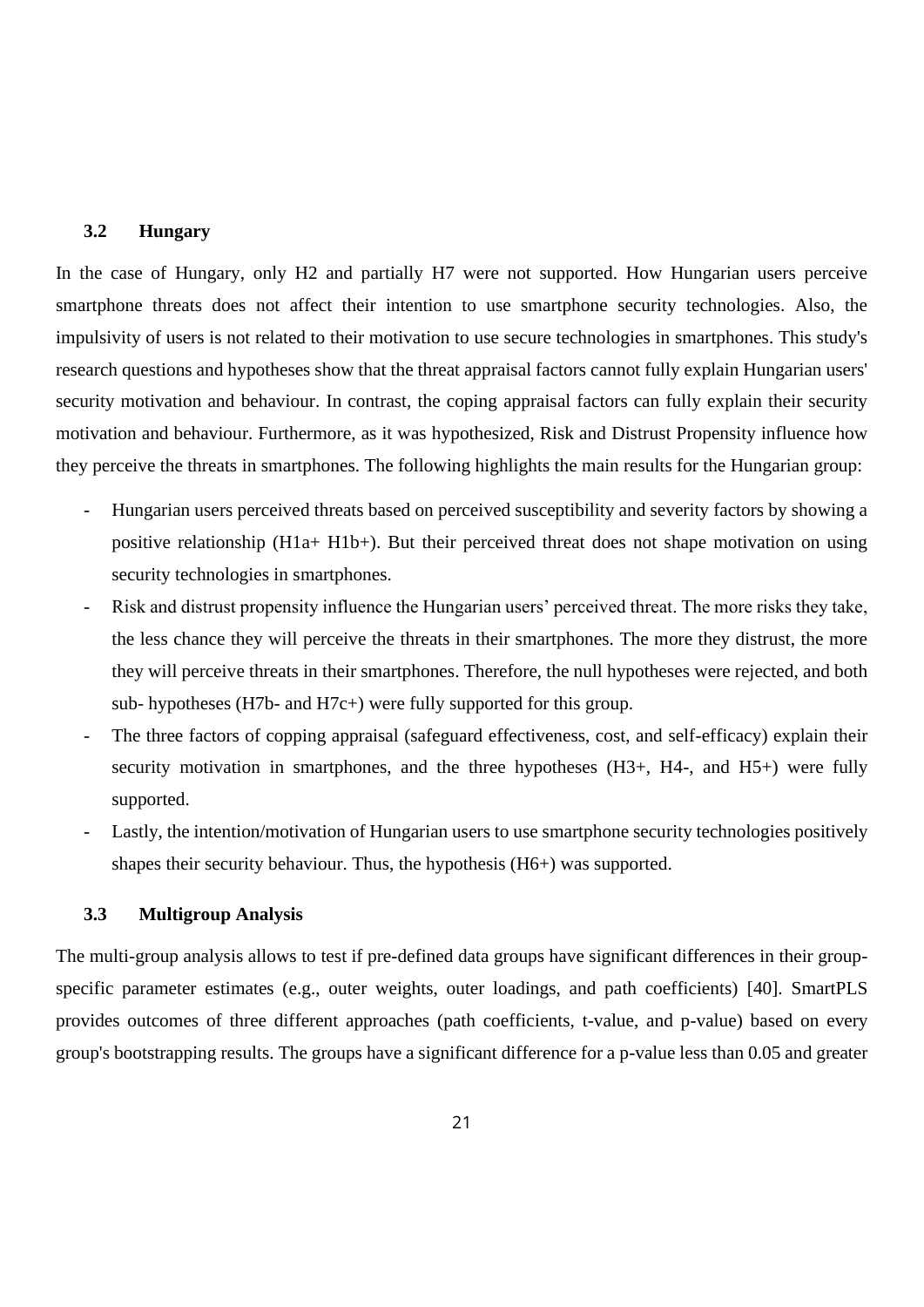#### <span id="page-20-0"></span>**3.2 Hungary**

In the case of Hungary, only H2 and partially H7 were not supported. How Hungarian users perceive smartphone threats does not affect their intention to use smartphone security technologies. Also, the impulsivity of users is not related to their motivation to use secure technologies in smartphones. This study's research questions and hypotheses show that the threat appraisal factors cannot fully explain Hungarian users' security motivation and behaviour. In contrast, the coping appraisal factors can fully explain their security motivation and behaviour. Furthermore, as it was hypothesized, Risk and Distrust Propensity influence how they perceive the threats in smartphones. The following highlights the main results for the Hungarian group:

- Hungarian users perceived threats based on perceived susceptibility and severity factors by showing a positive relationship (H1a+ H1b+). But their perceived threat does not shape motivation on using security technologies in smartphones.
- Risk and distrust propensity influence the Hungarian users' perceived threat. The more risks they take, the less chance they will perceive the threats in their smartphones. The more they distrust, the more they will perceive threats in their smartphones. Therefore, the null hypotheses were rejected, and both sub- hypotheses (H7b- and H7c+) were fully supported for this group.
- The three factors of copping appraisal (safeguard effectiveness, cost, and self-efficacy) explain their security motivation in smartphones, and the three hypotheses  $(H3+, H4-,$  and  $H5+)$  were fully supported.
- Lastly, the intention/motivation of Hungarian users to use smartphone security technologies positively shapes their security behaviour. Thus, the hypothesis (H6+) was supported.

## <span id="page-20-1"></span>**3.3 Multigroup Analysis**

The multi-group analysis allows to test if pre-defined data groups have significant differences in their groupspecific parameter estimates (e.g., outer weights, outer loadings, and path coefficients) [40]. SmartPLS provides outcomes of three different approaches (path coefficients, t-value, and p-value) based on every group's bootstrapping results. The groups have a significant difference for a p-value less than 0.05 and greater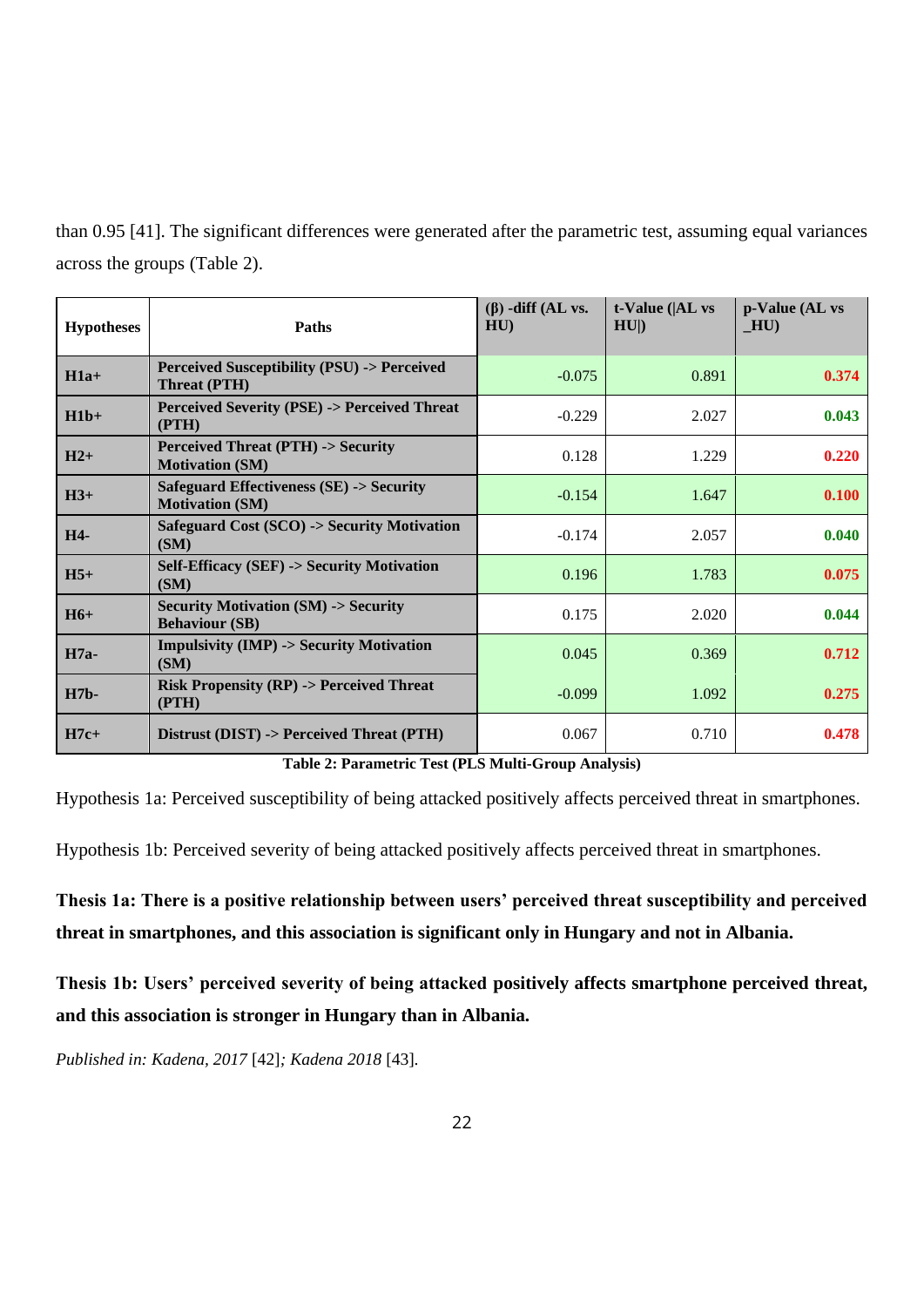than 0.95 [41]. The significant differences were generated after the parametric test, assuming equal variances across the groups (Table 2).

| <b>Hypotheses</b> | Paths                                                                        | $(\beta)$ -diff (AL vs.<br>HU | $t$ -Value ( $ AL$ vs<br>HU | p-Value (AL vs<br>$-HU$ |
|-------------------|------------------------------------------------------------------------------|-------------------------------|-----------------------------|-------------------------|
| $H1a+$            | <b>Perceived Susceptibility (PSU) -&gt; Perceived</b><br>Threat (PTH)        | $-0.075$                      | 0.891                       | 0.374                   |
| $H1b+$            | <b>Perceived Severity (PSE) -&gt; Perceived Threat</b><br>(PTH)              | $-0.229$                      | 2.027                       | 0.043                   |
| $H2+$             | <b>Perceived Threat (PTH) -&gt; Security</b><br><b>Motivation (SM)</b>       | 0.128                         | 1.229                       | 0.220                   |
| $H3+$             | <b>Safeguard Effectiveness (SE) -&gt; Security</b><br><b>Motivation (SM)</b> | $-0.154$                      | 1.647                       | 0.100                   |
| H4-               | Safeguard Cost (SCO) -> Security Motivation<br>(SM)                          | $-0.174$                      | 2.057                       | 0.040                   |
| $H5+$             | <b>Self-Efficacy (SEF) -&gt; Security Motivation</b><br>(SM)                 | 0.196                         | 1.783                       | 0.075                   |
| $H6+$             | <b>Security Motivation (SM) -&gt; Security</b><br><b>Behaviour (SB)</b>      | 0.175                         | 2.020                       | 0.044                   |
| $H7a-$            | <b>Impulsivity (IMP) -&gt; Security Motivation</b><br>(SM)                   | 0.045                         | 0.369                       | 0.712                   |
| <b>H7b-</b>       | <b>Risk Propensity (RP) -&gt; Perceived Threat</b><br>(PTH)                  | $-0.099$                      | 1.092                       | 0.275                   |
| $H7c+$            | Distrust (DIST) -> Perceived Threat (PTH)                                    | 0.067                         | 0.710                       | 0.478                   |

**Table 2: Parametric Test (PLS Multi-Group Analysis)**

Hypothesis 1a: Perceived susceptibility of being attacked positively affects perceived threat in smartphones.

Hypothesis 1b: Perceived severity of being attacked positively affects perceived threat in smartphones.

**Thesis 1a: There is a positive relationship between users' perceived threat susceptibility and perceived threat in smartphones, and this association is significant only in Hungary and not in Albania.** 

**Thesis 1b: Users' perceived severity of being attacked positively affects smartphone perceived threat, and this association is stronger in Hungary than in Albania.**

*Published in: Kadena, 2017* [42]*; Kadena 2018* [43]*.*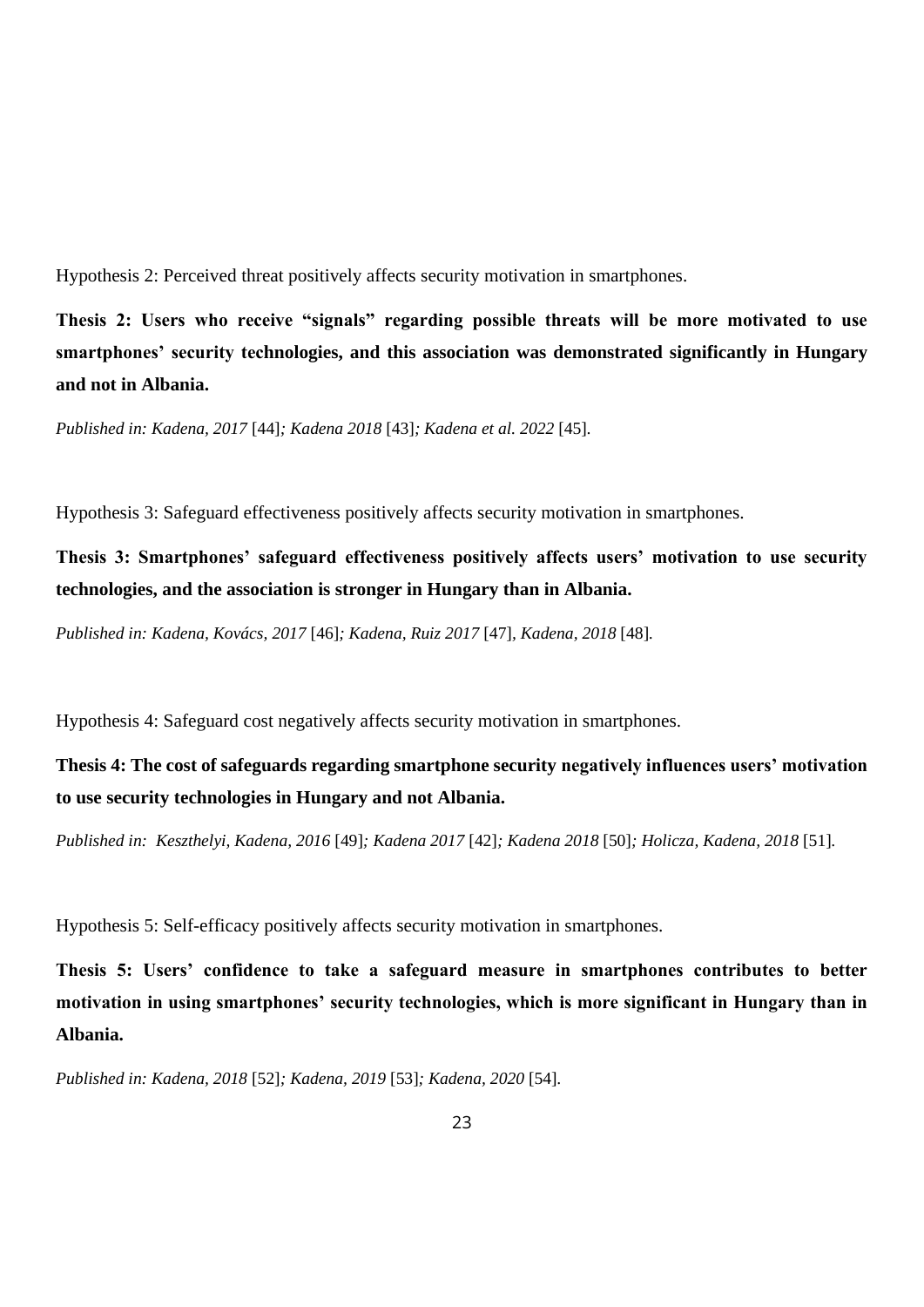Hypothesis 2: Perceived threat positively affects security motivation in smartphones.

**Thesis 2: Users who receive "signals" regarding possible threats will be more motivated to use smartphones' security technologies, and this association was demonstrated significantly in Hungary and not in Albania.**

*Published in: Kadena, 2017* [44]*; Kadena 2018* [43]*; Kadena et al. 2022* [45]*.*

Hypothesis 3: Safeguard effectiveness positively affects security motivation in smartphones.

**Thesis 3: Smartphones' safeguard effectiveness positively affects users' motivation to use security technologies, and the association is stronger in Hungary than in Albania.**

*Published in: Kadena, Kovács, 2017* [46]*; Kadena, Ruiz 2017* [47]*, Kadena, 2018* [48]*.*

Hypothesis 4: Safeguard cost negatively affects security motivation in smartphones.

**Thesis 4: The cost of safeguards regarding smartphone security negatively influences users' motivation to use security technologies in Hungary and not Albania.**

*Published in: Keszthelyi, Kadena, 2016* [49]*; Kadena 2017* [42]*; Kadena 2018* [50]*; Holicza, Kadena, 2018* [51]*.* 

Hypothesis 5: Self-efficacy positively affects security motivation in smartphones.

**Thesis 5: Users' confidence to take a safeguard measure in smartphones contributes to better motivation in using smartphones' security technologies, which is more significant in Hungary than in Albania.**

*Published in: Kadena, 2018* [52]*; Kadena, 2019* [53]*; Kadena, 2020* [54]*.*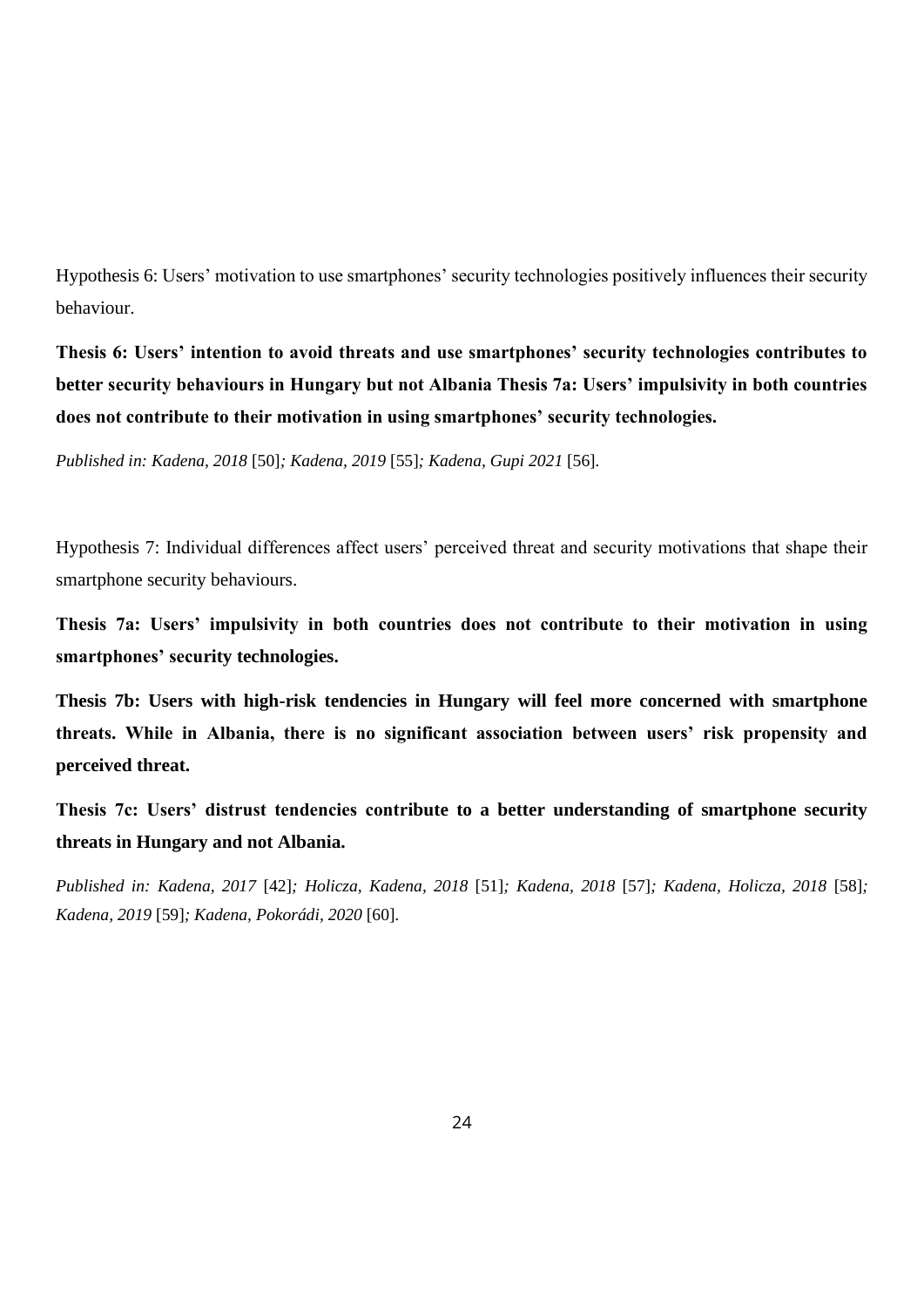Hypothesis 6: Users' motivation to use smartphones' security technologies positively influences their security behaviour.

**Thesis 6: Users' intention to avoid threats and use smartphones' security technologies contributes to better security behaviours in Hungary but not Albania Thesis 7a: Users' impulsivity in both countries does not contribute to their motivation in using smartphones' security technologies.**

*Published in: Kadena, 2018* [50]*; Kadena, 2019* [55]*; Kadena, Gupi 2021* [56]*.*

Hypothesis 7: Individual differences affect users' perceived threat and security motivations that shape their smartphone security behaviours.

**Thesis 7a: Users' impulsivity in both countries does not contribute to their motivation in using smartphones' security technologies.**

**Thesis 7b: Users with high-risk tendencies in Hungary will feel more concerned with smartphone threats. While in Albania, there is no significant association between users' risk propensity and perceived threat.** 

**Thesis 7c: Users' distrust tendencies contribute to a better understanding of smartphone security threats in Hungary and not Albania.** 

*Published in: Kadena, 2017* [42]*; Holicza, Kadena, 2018* [51]*; Kadena, 2018* [57]*; Kadena, Holicza, 2018* [58]*; Kadena, 2019* [59]*; Kadena, Pokorádi, 2020* [60]*.*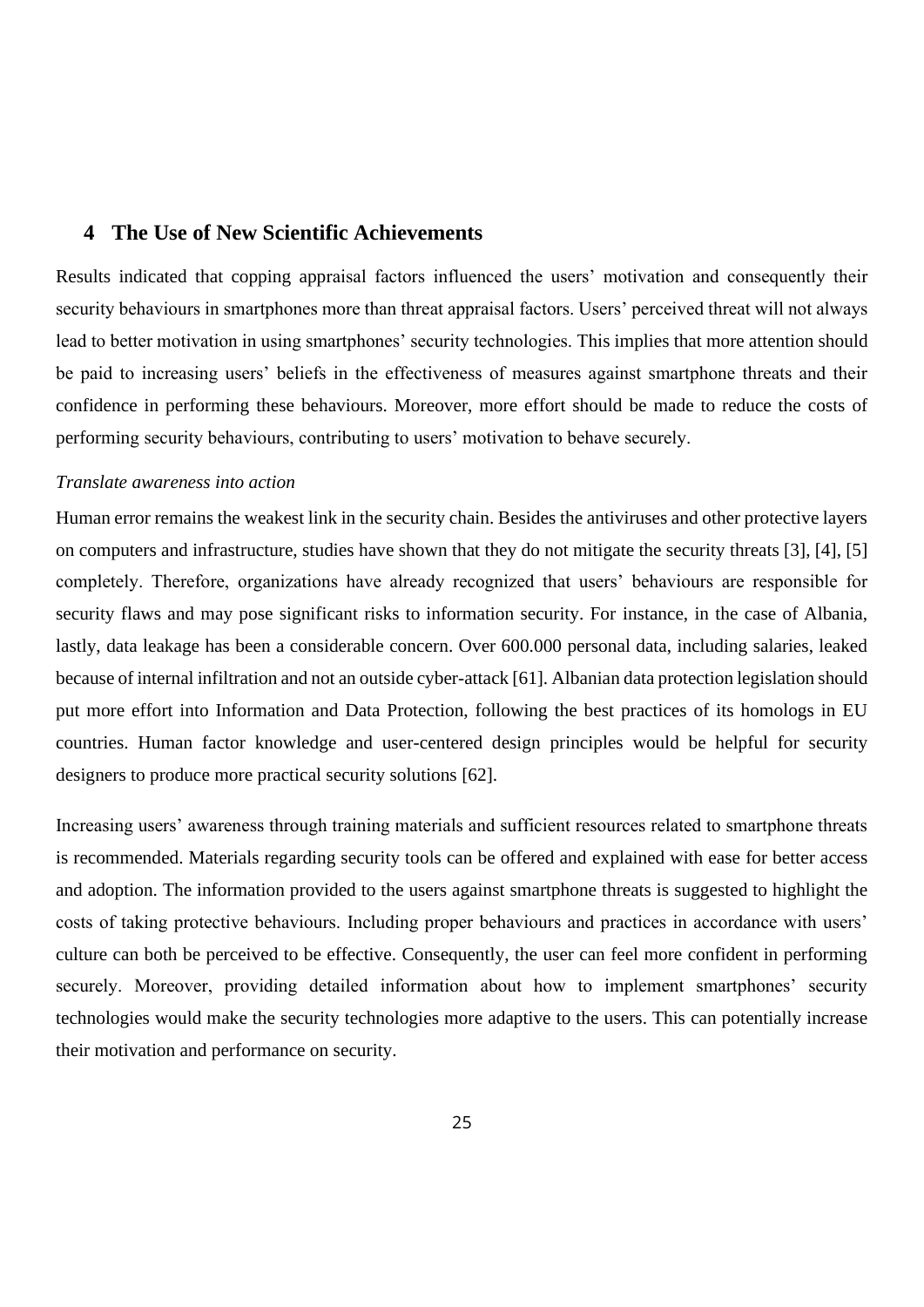## <span id="page-24-0"></span>**4 The Use of New Scientific Achievements**

Results indicated that copping appraisal factors influenced the users' motivation and consequently their security behaviours in smartphones more than threat appraisal factors. Users' perceived threat will not always lead to better motivation in using smartphones' security technologies. This implies that more attention should be paid to increasing users' beliefs in the effectiveness of measures against smartphone threats and their confidence in performing these behaviours. Moreover, more effort should be made to reduce the costs of performing security behaviours, contributing to users' motivation to behave securely.

#### *Translate awareness into action*

Human error remains the weakest link in the security chain. Besides the antiviruses and other protective layers on computers and infrastructure, studies have shown that they do not mitigate the security threats [3], [4], [5] completely. Therefore, organizations have already recognized that users' behaviours are responsible for security flaws and may pose significant risks to information security. For instance, in the case of Albania, lastly, data leakage has been a considerable concern. Over 600.000 personal data, including salaries, leaked because of internal infiltration and not an outside cyber-attack [61]. Albanian data protection legislation should put more effort into Information and Data Protection, following the best practices of its homologs in EU countries. Human factor knowledge and user-centered design principles would be helpful for security designers to produce more practical security solutions [62].

Increasing users' awareness through training materials and sufficient resources related to smartphone threats is recommended. Materials regarding security tools can be offered and explained with ease for better access and adoption. The information provided to the users against smartphone threats is suggested to highlight the costs of taking protective behaviours. Including proper behaviours and practices in accordance with users' culture can both be perceived to be effective. Consequently, the user can feel more confident in performing securely. Moreover, providing detailed information about how to implement smartphones' security technologies would make the security technologies more adaptive to the users. This can potentially increase their motivation and performance on security.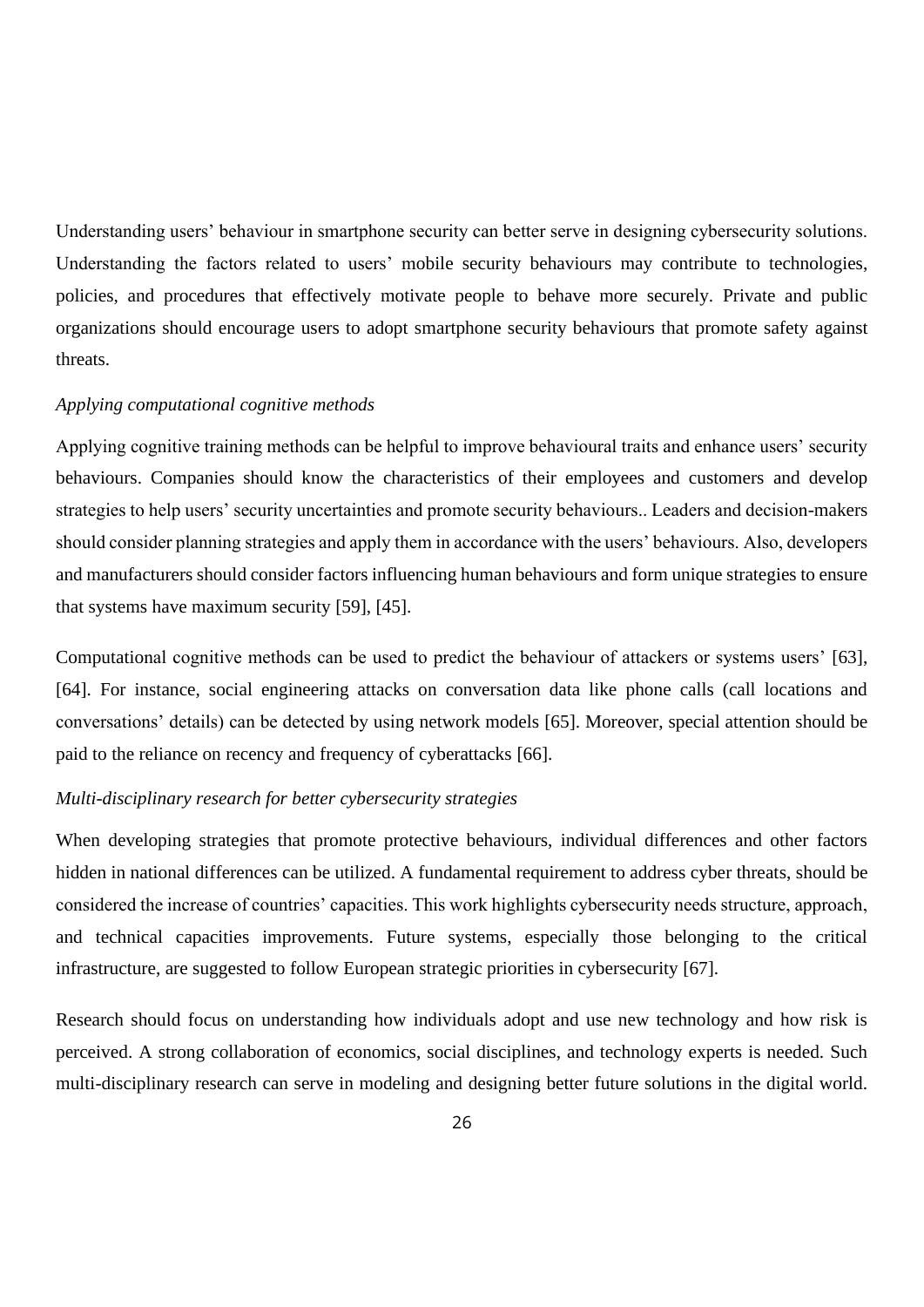Understanding users' behaviour in smartphone security can better serve in designing cybersecurity solutions. Understanding the factors related to users' mobile security behaviours may contribute to technologies, policies, and procedures that effectively motivate people to behave more securely. Private and public organizations should encourage users to adopt smartphone security behaviours that promote safety against threats.

#### *Applying computational cognitive methods*

Applying cognitive training methods can be helpful to improve behavioural traits and enhance users' security behaviours. Companies should know the characteristics of their employees and customers and develop strategies to help users' security uncertainties and promote security behaviours.. Leaders and decision-makers should consider planning strategies and apply them in accordance with the users' behaviours. Also, developers and manufacturers should consider factors influencing human behaviours and form unique strategies to ensure that systems have maximum security [59], [45].

Computational cognitive methods can be used to predict the behaviour of attackers or systems users' [63], [64]. For instance, social engineering attacks on conversation data like phone calls (call locations and conversations' details) can be detected by using network models [65]. Moreover, special attention should be paid to the reliance on recency and frequency of cyberattacks [66].

#### *Multi-disciplinary research for better cybersecurity strategies*

When developing strategies that promote protective behaviours, individual differences and other factors hidden in national differences can be utilized. A fundamental requirement to address cyber threats, should be considered the increase of countries' capacities. This work highlights cybersecurity needs structure, approach, and technical capacities improvements. Future systems, especially those belonging to the critical infrastructure, are suggested to follow European strategic priorities in cybersecurity [67].

Research should focus on understanding how individuals adopt and use new technology and how risk is perceived. A strong collaboration of economics, social disciplines, and technology experts is needed. Such multi-disciplinary research can serve in modeling and designing better future solutions in the digital world.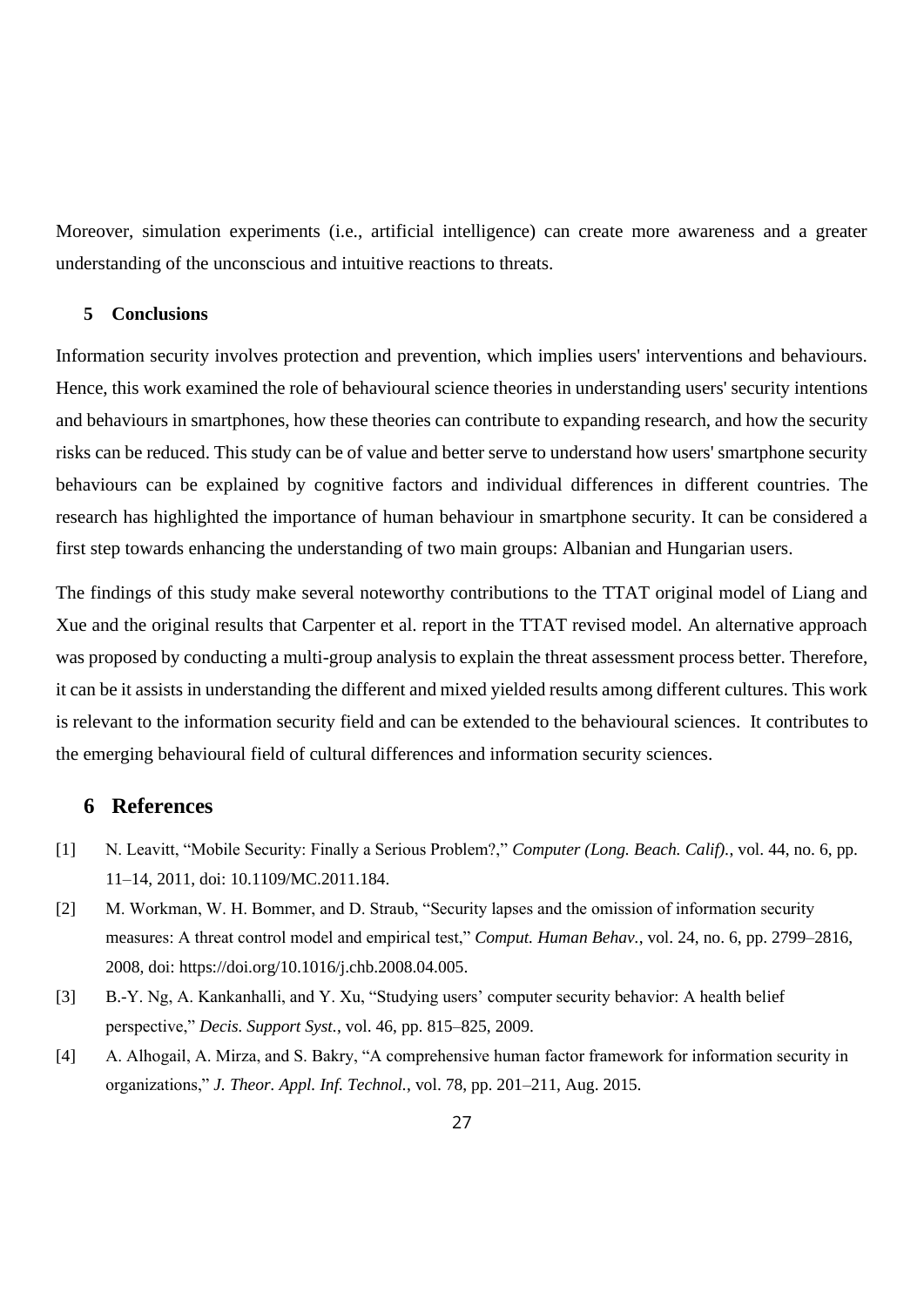Moreover, simulation experiments (i.e., artificial intelligence) can create more awareness and a greater understanding of the unconscious and intuitive reactions to threats.

## <span id="page-26-0"></span>**5 Conclusions**

Information security involves protection and prevention, which implies users' interventions and behaviours. Hence, this work examined the role of behavioural science theories in understanding users' security intentions and behaviours in smartphones, how these theories can contribute to expanding research, and how the security risks can be reduced. This study can be of value and better serve to understand how users' smartphone security behaviours can be explained by cognitive factors and individual differences in different countries. The research has highlighted the importance of human behaviour in smartphone security. It can be considered a first step towards enhancing the understanding of two main groups: Albanian and Hungarian users.

The findings of this study make several noteworthy contributions to the TTAT original model of Liang and Xue and the original results that Carpenter et al. report in the TTAT revised model. An alternative approach was proposed by conducting a multi-group analysis to explain the threat assessment process better. Therefore, it can be it assists in understanding the different and mixed yielded results among different cultures. This work is relevant to the information security field and can be extended to the behavioural sciences. It contributes to the emerging behavioural field of cultural differences and information security sciences.

## <span id="page-26-1"></span>**6 References**

- [1] N. Leavitt, "Mobile Security: Finally a Serious Problem?," *Computer (Long. Beach. Calif).*, vol. 44, no. 6, pp. 11–14, 2011, doi: 10.1109/MC.2011.184.
- [2] M. Workman, W. H. Bommer, and D. Straub, "Security lapses and the omission of information security measures: A threat control model and empirical test," *Comput. Human Behav.*, vol. 24, no. 6, pp. 2799–2816, 2008, doi: https://doi.org/10.1016/j.chb.2008.04.005.
- [3] B.-Y. Ng, A. Kankanhalli, and Y. Xu, "Studying users' computer security behavior: A health belief perspective," *Decis. Support Syst.*, vol. 46, pp. 815–825, 2009.
- [4] A. Alhogail, A. Mirza, and S. Bakry, "A comprehensive human factor framework for information security in organizations," *J. Theor. Appl. Inf. Technol.*, vol. 78, pp. 201–211, Aug. 2015.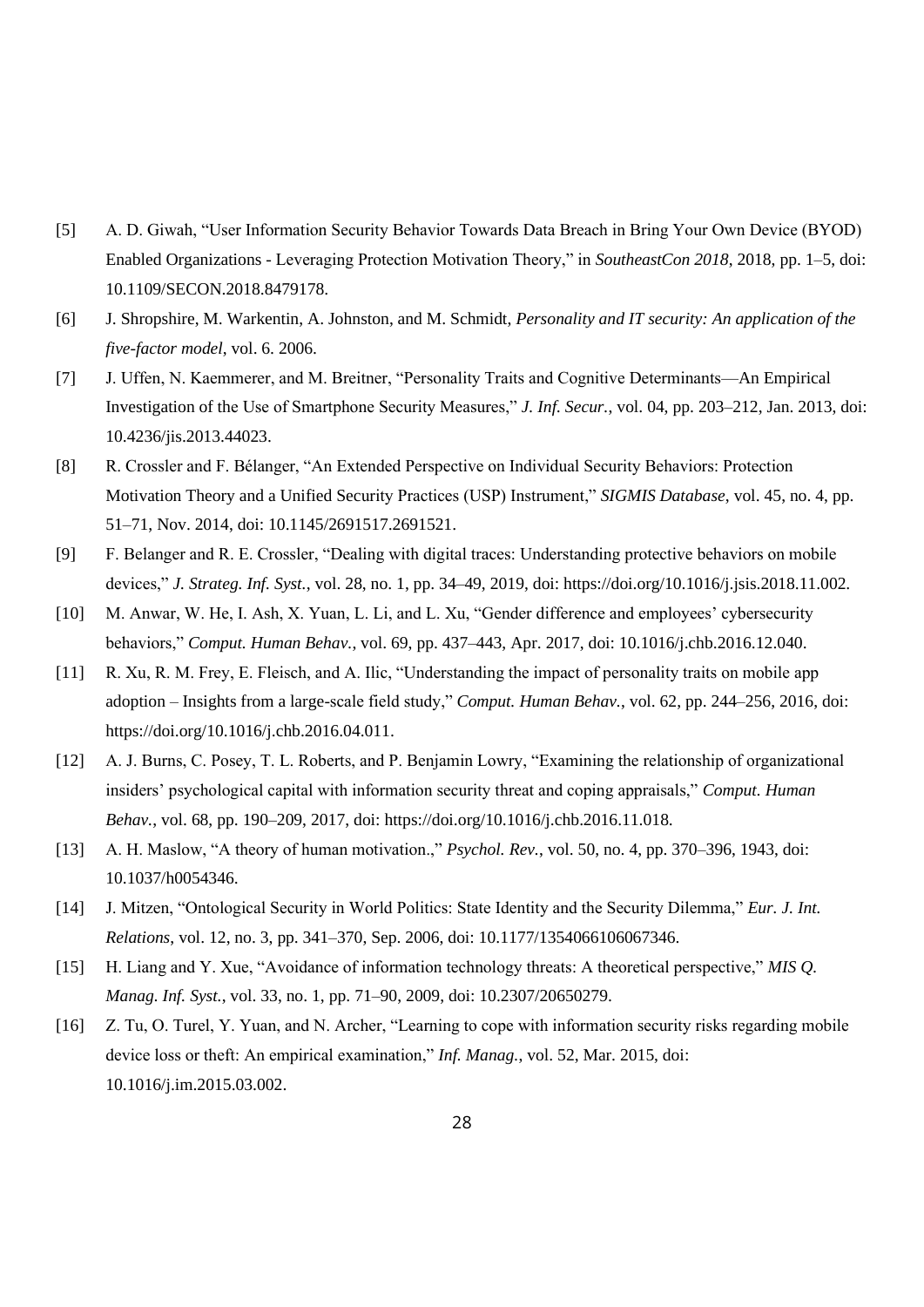- [5] A. D. Giwah, "User Information Security Behavior Towards Data Breach in Bring Your Own Device (BYOD) Enabled Organizations - Leveraging Protection Motivation Theory," in *SoutheastCon 2018*, 2018, pp. 1–5, doi: 10.1109/SECON.2018.8479178.
- [6] J. Shropshire, M. Warkentin, A. Johnston, and M. Schmidt, *Personality and IT security: An application of the five-factor model*, vol. 6. 2006.
- [7] J. Uffen, N. Kaemmerer, and M. Breitner, "Personality Traits and Cognitive Determinants—An Empirical Investigation of the Use of Smartphone Security Measures," *J. Inf. Secur.*, vol. 04, pp. 203–212, Jan. 2013, doi: 10.4236/jis.2013.44023.
- [8] R. Crossler and F. Bélanger, "An Extended Perspective on Individual Security Behaviors: Protection Motivation Theory and a Unified Security Practices (USP) Instrument," *SIGMIS Database*, vol. 45, no. 4, pp. 51–71, Nov. 2014, doi: 10.1145/2691517.2691521.
- [9] F. Belanger and R. E. Crossler, "Dealing with digital traces: Understanding protective behaviors on mobile devices," *J. Strateg. Inf. Syst.*, vol. 28, no. 1, pp. 34–49, 2019, doi: https://doi.org/10.1016/j.jsis.2018.11.002.
- [10] M. Anwar, W. He, I. Ash, X. Yuan, L. Li, and L. Xu, "Gender difference and employees' cybersecurity behaviors," *Comput. Human Behav.*, vol. 69, pp. 437–443, Apr. 2017, doi: 10.1016/j.chb.2016.12.040.
- [11] R. Xu, R. M. Frey, E. Fleisch, and A. Ilic, "Understanding the impact of personality traits on mobile app adoption – Insights from a large-scale field study," *Comput. Human Behav.*, vol. 62, pp. 244–256, 2016, doi: https://doi.org/10.1016/j.chb.2016.04.011.
- [12] A. J. Burns, C. Posey, T. L. Roberts, and P. Benjamin Lowry, "Examining the relationship of organizational insiders' psychological capital with information security threat and coping appraisals," *Comput. Human Behav.*, vol. 68, pp. 190–209, 2017, doi: https://doi.org/10.1016/j.chb.2016.11.018.
- [13] A. H. Maslow, "A theory of human motivation.," *Psychol. Rev.*, vol. 50, no. 4, pp. 370–396, 1943, doi: 10.1037/h0054346.
- [14] J. Mitzen, "Ontological Security in World Politics: State Identity and the Security Dilemma," *Eur. J. Int. Relations*, vol. 12, no. 3, pp. 341–370, Sep. 2006, doi: 10.1177/1354066106067346.
- [15] H. Liang and Y. Xue, "Avoidance of information technology threats: A theoretical perspective," *MIS Q. Manag. Inf. Syst.*, vol. 33, no. 1, pp. 71–90, 2009, doi: 10.2307/20650279.
- [16] Z. Tu, O. Turel, Y. Yuan, and N. Archer, "Learning to cope with information security risks regarding mobile device loss or theft: An empirical examination," *Inf. Manag.*, vol. 52, Mar. 2015, doi: 10.1016/j.im.2015.03.002.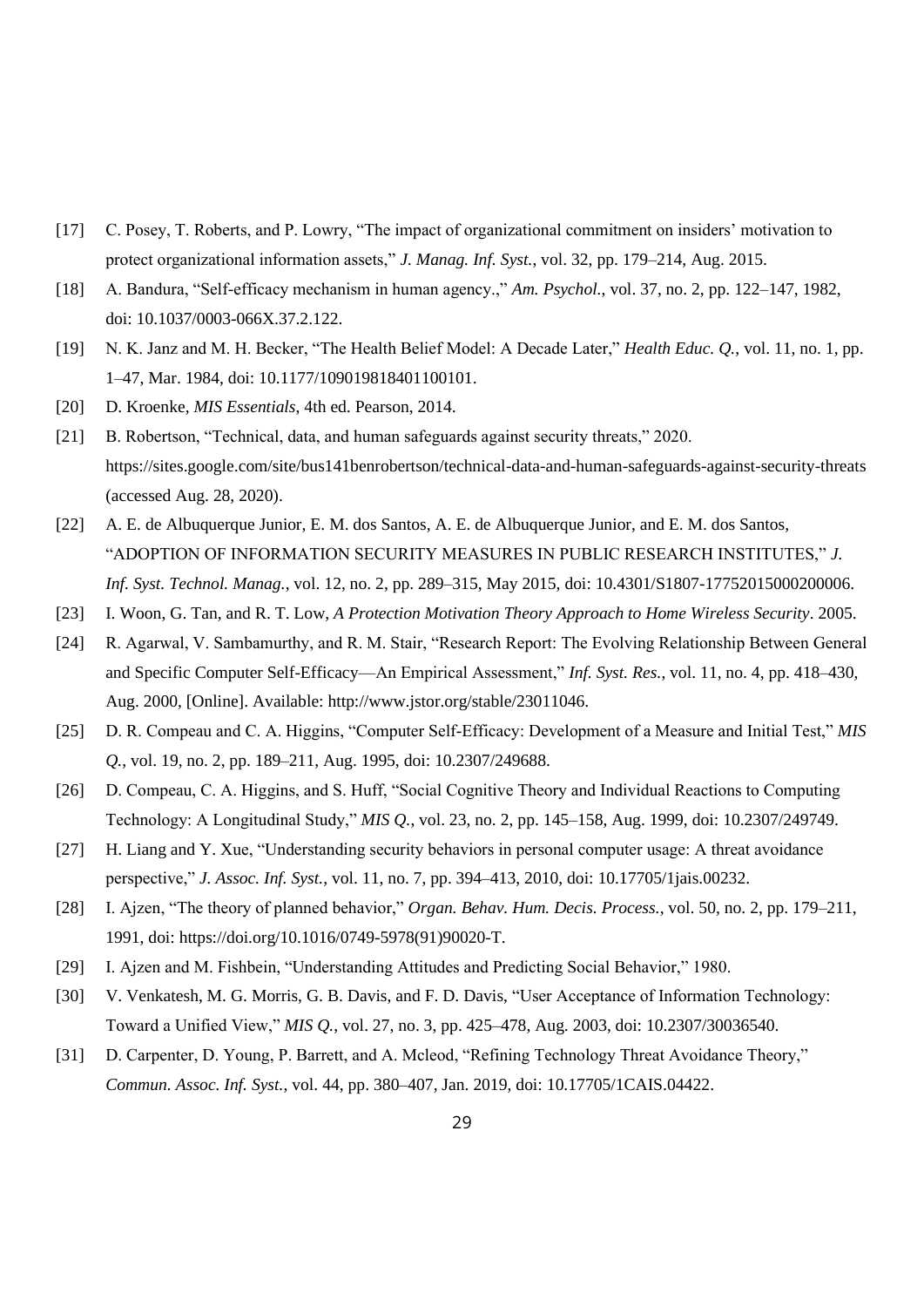- [17] C. Posey, T. Roberts, and P. Lowry, "The impact of organizational commitment on insiders' motivation to protect organizational information assets," *J. Manag. Inf. Syst.*, vol. 32, pp. 179–214, Aug. 2015.
- [18] A. Bandura, "Self-efficacy mechanism in human agency.," *Am. Psychol.*, vol. 37, no. 2, pp. 122–147, 1982, doi: 10.1037/0003-066X.37.2.122.
- [19] N. K. Janz and M. H. Becker, "The Health Belief Model: A Decade Later," *Health Educ. Q.*, vol. 11, no. 1, pp. 1–47, Mar. 1984, doi: 10.1177/109019818401100101.
- [20] D. Kroenke, *MIS Essentials*, 4th ed. Pearson, 2014.
- [21] B. Robertson, "Technical, data, and human safeguards against security threats," 2020. https://sites.google.com/site/bus141benrobertson/technical-data-and-human-safeguards-against-security-threats (accessed Aug. 28, 2020).
- [22] A. E. de Albuquerque Junior, E. M. dos Santos, A. E. de Albuquerque Junior, and E. M. dos Santos, "ADOPTION OF INFORMATION SECURITY MEASURES IN PUBLIC RESEARCH INSTITUTES," *J. Inf. Syst. Technol. Manag.*, vol. 12, no. 2, pp. 289–315, May 2015, doi: 10.4301/S1807-17752015000200006.
- [23] I. Woon, G. Tan, and R. T. Low, *A Protection Motivation Theory Approach to Home Wireless Security*. 2005.
- [24] R. Agarwal, V. Sambamurthy, and R. M. Stair, "Research Report: The Evolving Relationship Between General and Specific Computer Self-Efficacy—An Empirical Assessment," *Inf. Syst. Res.*, vol. 11, no. 4, pp. 418–430, Aug. 2000, [Online]. Available: http://www.jstor.org/stable/23011046.
- [25] D. R. Compeau and C. A. Higgins, "Computer Self-Efficacy: Development of a Measure and Initial Test," *MIS Q.*, vol. 19, no. 2, pp. 189–211, Aug. 1995, doi: 10.2307/249688.
- [26] D. Compeau, C. A. Higgins, and S. Huff, "Social Cognitive Theory and Individual Reactions to Computing Technology: A Longitudinal Study," *MIS Q.*, vol. 23, no. 2, pp. 145–158, Aug. 1999, doi: 10.2307/249749.
- [27] H. Liang and Y. Xue, "Understanding security behaviors in personal computer usage: A threat avoidance perspective," *J. Assoc. Inf. Syst.*, vol. 11, no. 7, pp. 394–413, 2010, doi: 10.17705/1jais.00232.
- [28] I. Ajzen, "The theory of planned behavior," *Organ. Behav. Hum. Decis. Process.*, vol. 50, no. 2, pp. 179–211, 1991, doi: https://doi.org/10.1016/0749-5978(91)90020-T.
- [29] I. Ajzen and M. Fishbein, "Understanding Attitudes and Predicting Social Behavior," 1980.
- [30] V. Venkatesh, M. G. Morris, G. B. Davis, and F. D. Davis, "User Acceptance of Information Technology: Toward a Unified View," *MIS Q.*, vol. 27, no. 3, pp. 425–478, Aug. 2003, doi: 10.2307/30036540.
- [31] D. Carpenter, D. Young, P. Barrett, and A. Mcleod, "Refining Technology Threat Avoidance Theory," *Commun. Assoc. Inf. Syst.*, vol. 44, pp. 380–407, Jan. 2019, doi: 10.17705/1CAIS.04422.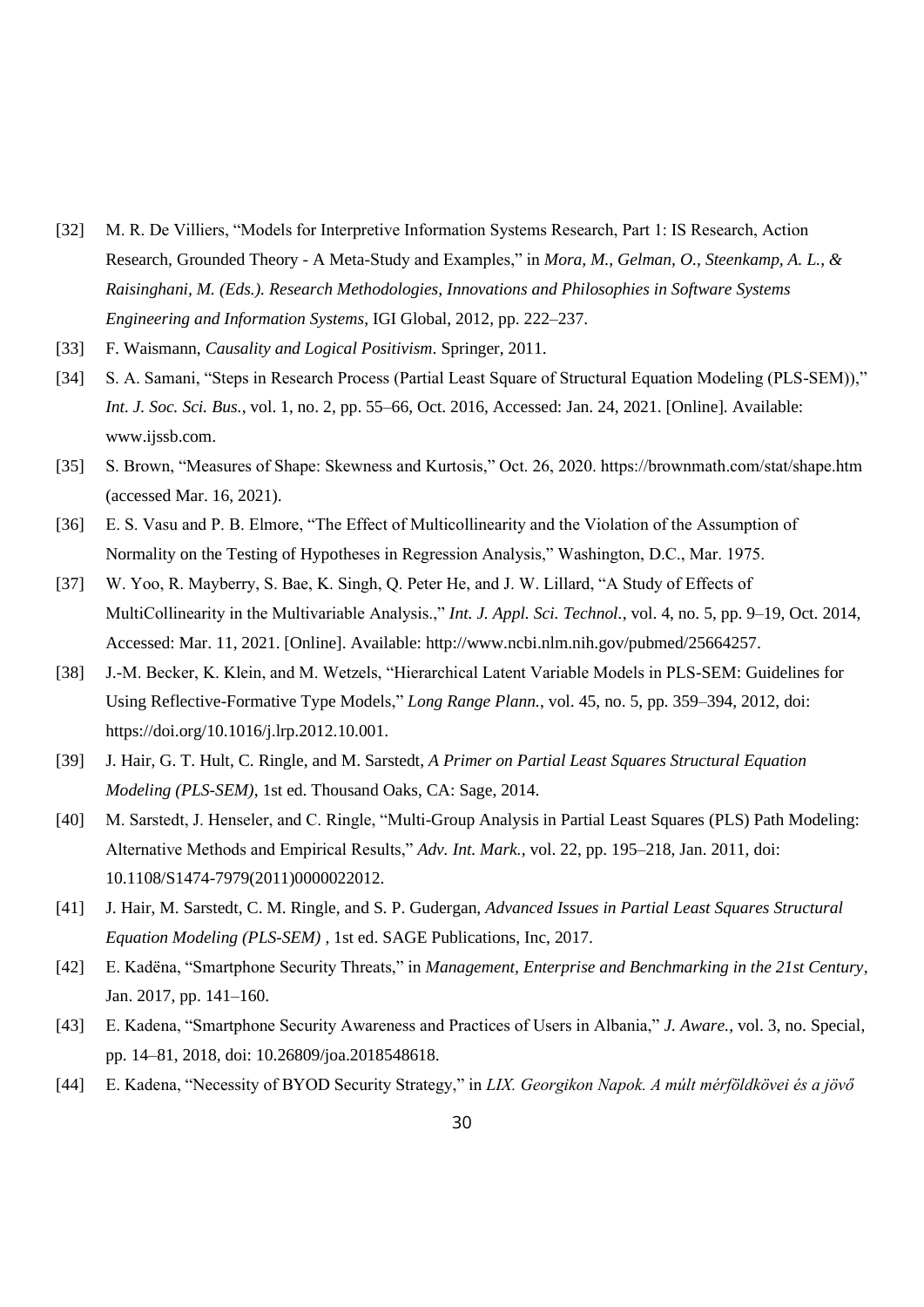- [32] M. R. De Villiers, "Models for Interpretive Information Systems Research, Part 1: IS Research, Action Research, Grounded Theory - A Meta-Study and Examples," in *Mora, M., Gelman, O., Steenkamp, A. L., & Raisinghani, M. (Eds.). Research Methodologies, Innovations and Philosophies in Software Systems Engineering and Information Systems*, IGI Global, 2012, pp. 222–237.
- [33] F. Waismann, *Causality and Logical Positivism*. Springer, 2011.
- [34] S. A. Samani, "Steps in Research Process (Partial Least Square of Structural Equation Modeling (PLS-SEM))," *Int. J. Soc. Sci. Bus.*, vol. 1, no. 2, pp. 55–66, Oct. 2016, Accessed: Jan. 24, 2021. [Online]. Available: www.ijssb.com.
- [35] S. Brown, "Measures of Shape: Skewness and Kurtosis," Oct. 26, 2020. https://brownmath.com/stat/shape.htm (accessed Mar. 16, 2021).
- [36] E. S. Vasu and P. B. Elmore, "The Effect of Multicollinearity and the Violation of the Assumption of Normality on the Testing of Hypotheses in Regression Analysis," Washington, D.C., Mar. 1975.
- [37] W. Yoo, R. Mayberry, S. Bae, K. Singh, Q. Peter He, and J. W. Lillard, "A Study of Effects of MultiCollinearity in the Multivariable Analysis.," *Int. J. Appl. Sci. Technol.*, vol. 4, no. 5, pp. 9–19, Oct. 2014, Accessed: Mar. 11, 2021. [Online]. Available: http://www.ncbi.nlm.nih.gov/pubmed/25664257.
- [38] J.-M. Becker, K. Klein, and M. Wetzels, "Hierarchical Latent Variable Models in PLS-SEM: Guidelines for Using Reflective-Formative Type Models," *Long Range Plann.*, vol. 45, no. 5, pp. 359–394, 2012, doi: https://doi.org/10.1016/j.lrp.2012.10.001.
- [39] J. Hair, G. T. Hult, C. Ringle, and M. Sarstedt, *A Primer on Partial Least Squares Structural Equation Modeling (PLS-SEM)*, 1st ed. Thousand Oaks, CA: Sage, 2014.
- [40] M. Sarstedt, J. Henseler, and C. Ringle, "Multi-Group Analysis in Partial Least Squares (PLS) Path Modeling: Alternative Methods and Empirical Results," *Adv. Int. Mark.*, vol. 22, pp. 195–218, Jan. 2011, doi: 10.1108/S1474-7979(2011)0000022012.
- [41] J. Hair, M. Sarstedt, C. M. Ringle, and S. P. Gudergan, *Advanced Issues in Partial Least Squares Structural Equation Modeling (PLS-SEM)* , 1st ed. SAGE Publications, Inc, 2017.
- [42] E. Kadëna, "Smartphone Security Threats," in *Management, Enterprise and Benchmarking in the 21st Century*, Jan. 2017, pp. 141–160.
- [43] E. Kadena, "Smartphone Security Awareness and Practices of Users in Albania," *J. Aware.*, vol. 3, no. Special, pp. 14–81, 2018, doi: 10.26809/joa.2018548618.
- [44] E. Kadena, "Necessity of BYOD Security Strategy," in *LIX. Georgikon Napok. A múlt mérföldkövei és a jövő*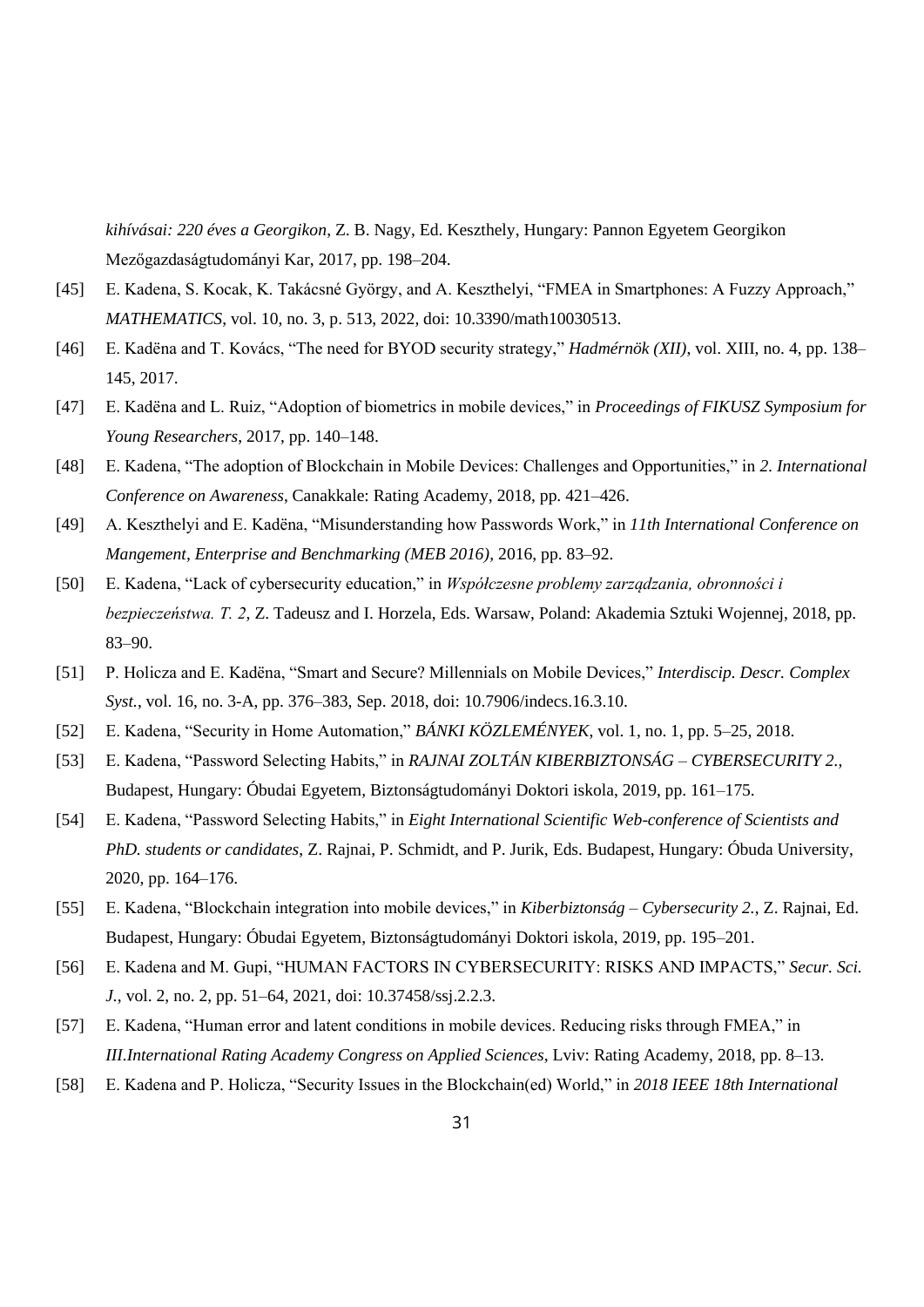*kihívásai: 220 éves a Georgikon*, Z. B. Nagy, Ed. Keszthely, Hungary: Pannon Egyetem Georgikon Mezőgazdaságtudományi Kar, 2017, pp. 198–204.

- [45] E. Kadena, S. Kocak, K. Takácsné György, and A. Keszthelyi, "FMEA in Smartphones: A Fuzzy Approach," *MATHEMATICS*, vol. 10, no. 3, p. 513, 2022, doi: 10.3390/math10030513.
- [46] E. Kadëna and T. Kovács, "The need for BYOD security strategy," *Hadmérnök (XII)*, vol. XIII, no. 4, pp. 138– 145, 2017.
- [47] E. Kadëna and L. Ruiz, "Adoption of biometrics in mobile devices," in *Proceedings of FIKUSZ Symposium for Young Researchers*, 2017, pp. 140–148.
- [48] E. Kadena, "The adoption of Blockchain in Mobile Devices: Challenges and Opportunities," in *2. International Conference on Awareness*, Canakkale: Rating Academy, 2018, pp. 421–426.
- [49] A. Keszthelyi and E. Kadëna, "Misunderstanding how Passwords Work," in *11th International Conference on Mangement, Enterprise and Benchmarking (MEB 2016)*, 2016, pp. 83–92.
- [50] E. Kadena, "Lack of cybersecurity education," in *Współczesne problemy zarządzania, obronności i bezpieczeństwa. T. 2*, Z. Tadeusz and I. Horzela, Eds. Warsaw, Poland: Akademia Sztuki Wojennej, 2018, pp. 83–90.
- [51] P. Holicza and E. Kadëna, "Smart and Secure? Millennials on Mobile Devices," *Interdiscip. Descr. Complex Syst.*, vol. 16, no. 3-A, pp. 376–383, Sep. 2018, doi: 10.7906/indecs.16.3.10.
- [52] E. Kadena, "Security in Home Automation," *BÁNKI KÖZLEMÉNYEK*, vol. 1, no. 1, pp. 5–25, 2018.
- [53] E. Kadena, "Password Selecting Habits," in *RAJNAI ZOLTÁN KIBERBIZTONSÁG – CYBERSECURITY 2.*, Budapest, Hungary: Óbudai Egyetem, Biztonságtudományi Doktori iskola, 2019, pp. 161–175.
- [54] E. Kadena, "Password Selecting Habits," in *Eight International Scientific Web-conference of Scientists and PhD. students or candidates*, Z. Rajnai, P. Schmidt, and P. Jurik, Eds. Budapest, Hungary: Óbuda University, 2020, pp. 164–176.
- [55] E. Kadena, "Blockchain integration into mobile devices," in *Kiberbiztonság – Cybersecurity 2.*, Z. Rajnai, Ed. Budapest, Hungary: Óbudai Egyetem, Biztonságtudományi Doktori iskola, 2019, pp. 195–201.
- [56] E. Kadena and M. Gupi, "HUMAN FACTORS IN CYBERSECURITY: RISKS AND IMPACTS," *Secur. Sci. J.*, vol. 2, no. 2, pp. 51–64, 2021, doi: 10.37458/ssj.2.2.3.
- [57] E. Kadena, "Human error and latent conditions in mobile devices. Reducing risks through FMEA," in *III.International Rating Academy Congress on Applied Sciences*, Lviv: Rating Academy, 2018, pp. 8–13.
- [58] E. Kadena and P. Holicza, "Security Issues in the Blockchain(ed) World," in *2018 IEEE 18th International*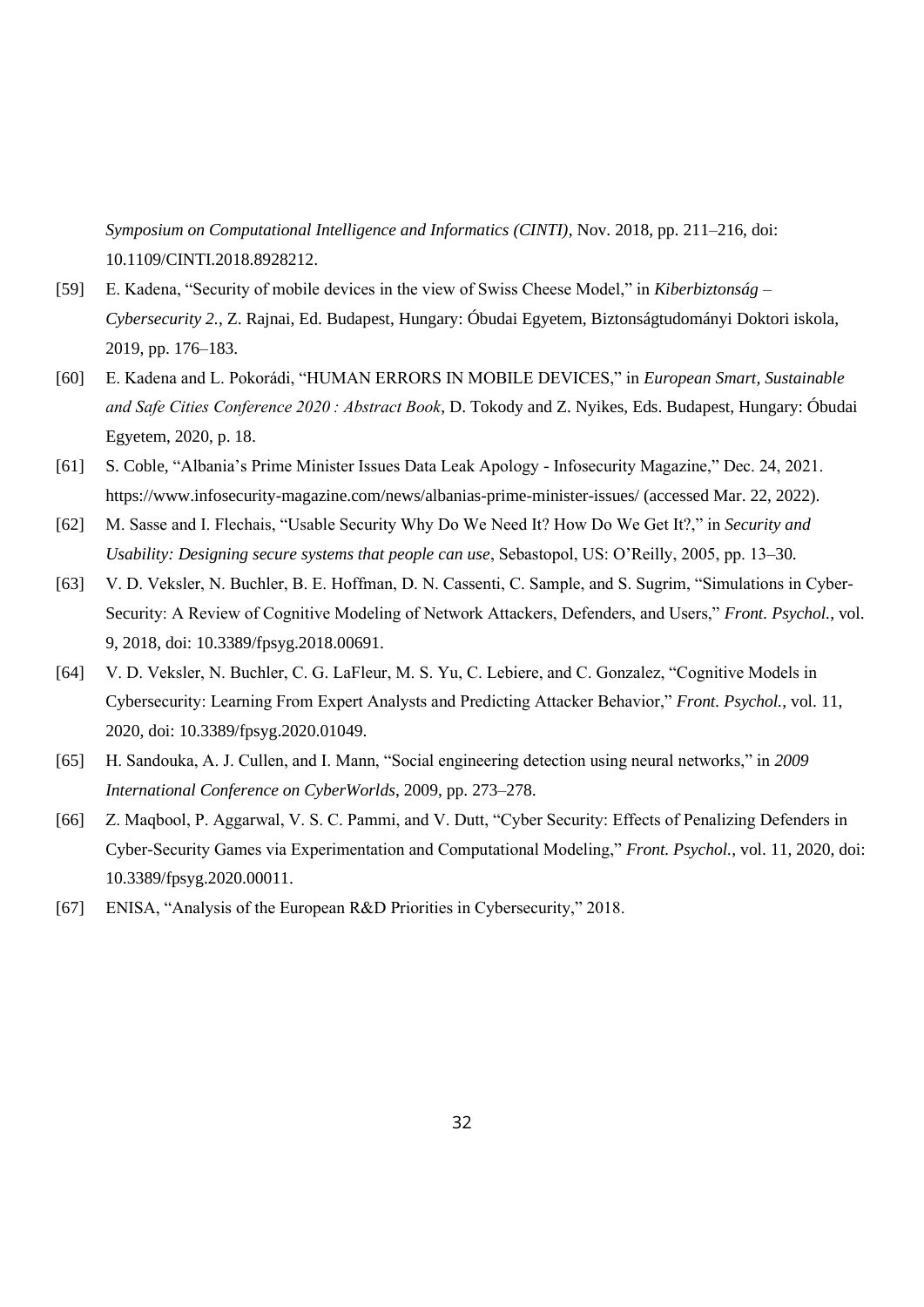*Symposium on Computational Intelligence and Informatics (CINTI)*, Nov. 2018, pp. 211–216, doi: 10.1109/CINTI.2018.8928212.

- [59] E. Kadena, "Security of mobile devices in the view of Swiss Cheese Model," in *Kiberbiztonság – Cybersecurity 2.*, Z. Rajnai, Ed. Budapest, Hungary: Óbudai Egyetem, Biztonságtudományi Doktori iskola, 2019, pp. 176–183.
- [60] E. Kadena and L. Pokorádi, "HUMAN ERRORS IN MOBILE DEVICES," in *European Smart, Sustainable and Safe Cities Conference 2020 : Abstract Book*, D. Tokody and Z. Nyikes, Eds. Budapest, Hungary: Óbudai Egyetem, 2020, p. 18.
- [61] S. Coble, "Albania's Prime Minister Issues Data Leak Apology Infosecurity Magazine," Dec. 24, 2021. https://www.infosecurity-magazine.com/news/albanias-prime-minister-issues/ (accessed Mar. 22, 2022).
- [62] M. Sasse and I. Flechais, "Usable Security Why Do We Need It? How Do We Get It?," in *Security and Usability: Designing secure systems that people can use*, Sebastopol, US: O'Reilly, 2005, pp. 13–30.
- [63] V. D. Veksler, N. Buchler, B. E. Hoffman, D. N. Cassenti, C. Sample, and S. Sugrim, "Simulations in Cyber-Security: A Review of Cognitive Modeling of Network Attackers, Defenders, and Users," *Front. Psychol.*, vol. 9, 2018, doi: 10.3389/fpsyg.2018.00691.
- [64] V. D. Veksler, N. Buchler, C. G. LaFleur, M. S. Yu, C. Lebiere, and C. Gonzalez, "Cognitive Models in Cybersecurity: Learning From Expert Analysts and Predicting Attacker Behavior," *Front. Psychol.*, vol. 11, 2020, doi: 10.3389/fpsyg.2020.01049.
- [65] H. Sandouka, A. J. Cullen, and I. Mann, "Social engineering detection using neural networks," in *2009 International Conference on CyberWorlds*, 2009, pp. 273–278.
- [66] Z. Maqbool, P. Aggarwal, V. S. C. Pammi, and V. Dutt, "Cyber Security: Effects of Penalizing Defenders in Cyber-Security Games via Experimentation and Computational Modeling," *Front. Psychol.*, vol. 11, 2020, doi: 10.3389/fpsyg.2020.00011.
- [67] ENISA, "Analysis of the European R&D Priorities in Cybersecurity," 2018.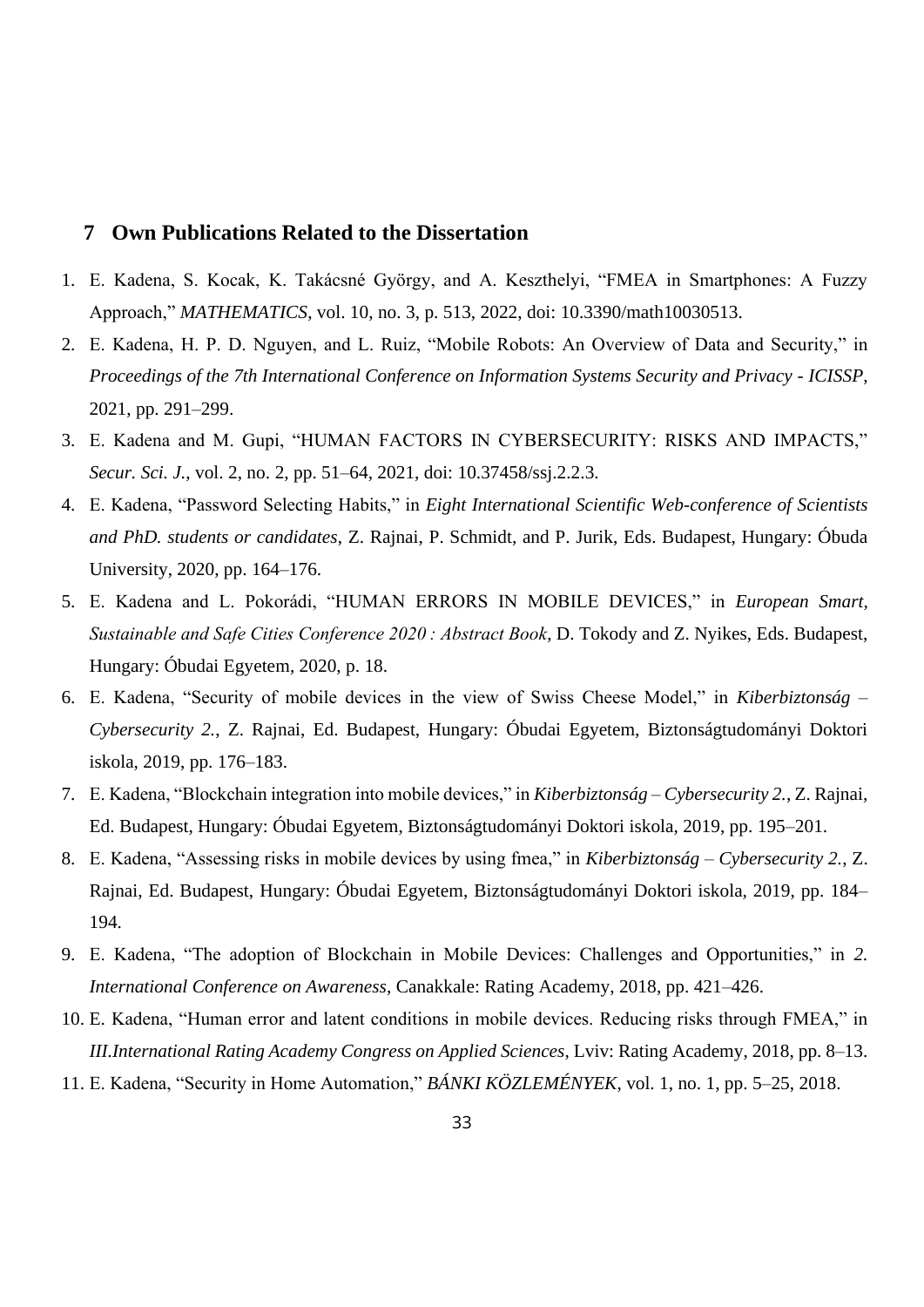## <span id="page-32-0"></span>**7 Own Publications Related to the Dissertation**

- 1. E. Kadena, S. Kocak, K. Takácsné György, and A. Keszthelyi, "FMEA in Smartphones: A Fuzzy Approach," *MATHEMATICS*, vol. 10, no. 3, p. 513, 2022, doi: 10.3390/math10030513.
- 2. E. Kadena, H. P. D. Nguyen, and L. Ruiz, "Mobile Robots: An Overview of Data and Security," in *Proceedings of the 7th International Conference on Information Systems Security and Privacy - ICISSP*, 2021, pp. 291–299.
- 3. E. Kadena and M. Gupi, "HUMAN FACTORS IN CYBERSECURITY: RISKS AND IMPACTS," *Secur. Sci. J.*, vol. 2, no. 2, pp. 51–64, 2021, doi: 10.37458/ssj.2.2.3.
- 4. E. Kadena, "Password Selecting Habits," in *Eight International Scientific Web-conference of Scientists and PhD. students or candidates*, Z. Rajnai, P. Schmidt, and P. Jurik, Eds. Budapest, Hungary: Óbuda University, 2020, pp. 164–176.
- 5. E. Kadena and L. Pokorádi, "HUMAN ERRORS IN MOBILE DEVICES," in *European Smart, Sustainable and Safe Cities Conference 2020 : Abstract Book*, D. Tokody and Z. Nyikes, Eds. Budapest, Hungary: Óbudai Egyetem, 2020, p. 18.
- 6. E. Kadena, "Security of mobile devices in the view of Swiss Cheese Model," in *Kiberbiztonság – Cybersecurity 2.*, Z. Rajnai, Ed. Budapest, Hungary: Óbudai Egyetem, Biztonságtudományi Doktori iskola, 2019, pp. 176–183.
- 7. E. Kadena, "Blockchain integration into mobile devices," in *Kiberbiztonság – Cybersecurity 2.*, Z. Rajnai, Ed. Budapest, Hungary: Óbudai Egyetem, Biztonságtudományi Doktori iskola, 2019, pp. 195–201.
- 8. E. Kadena, "Assessing risks in mobile devices by using fmea," in *Kiberbiztonság – Cybersecurity 2.*, Z. Rajnai, Ed. Budapest, Hungary: Óbudai Egyetem, Biztonságtudományi Doktori iskola, 2019, pp. 184– 194.
- 9. E. Kadena, "The adoption of Blockchain in Mobile Devices: Challenges and Opportunities," in *2. International Conference on Awareness*, Canakkale: Rating Academy, 2018, pp. 421–426.
- 10. E. Kadena, "Human error and latent conditions in mobile devices. Reducing risks through FMEA," in *III.International Rating Academy Congress on Applied Sciences*, Lviv: Rating Academy, 2018, pp. 8–13.
- 11. E. Kadena, "Security in Home Automation," *BÁNKI KÖZLEMÉNYEK*, vol. 1, no. 1, pp. 5–25, 2018.